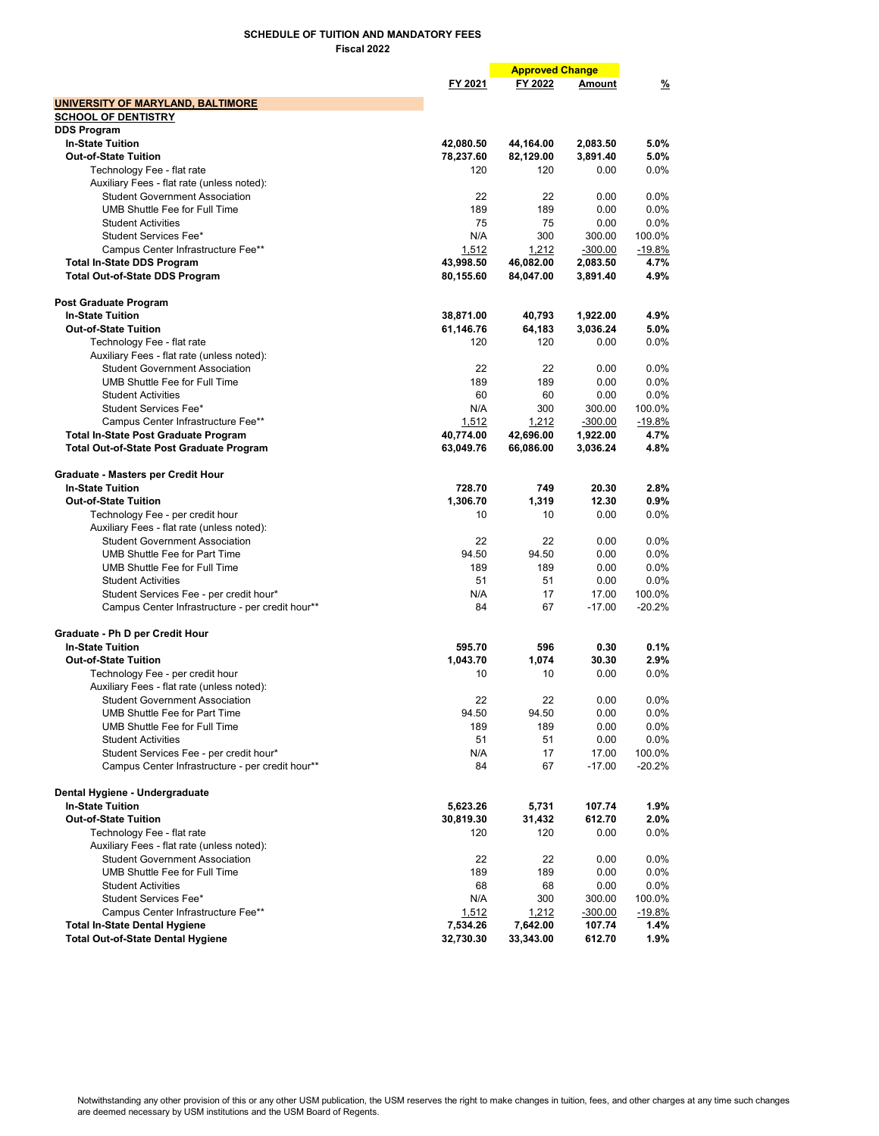|                                                                                |                | <b>Approved Change</b> |           |          |
|--------------------------------------------------------------------------------|----------------|------------------------|-----------|----------|
|                                                                                | FY 2021        | FY 2022                | Amount    | <u>%</u> |
| UNIVERSITY OF MARYLAND, BALTIMORE                                              |                |                        |           |          |
| <b>SCHOOL OF DENTISTRY</b>                                                     |                |                        |           |          |
| <b>DDS Program</b>                                                             |                |                        |           |          |
| <b>In-State Tuition</b>                                                        | 42,080.50      | 44,164.00              | 2,083.50  | 5.0%     |
| <b>Out-of-State Tuition</b>                                                    | 78,237.60      | 82,129.00              | 3,891.40  | 5.0%     |
| Technology Fee - flat rate                                                     | 120            | 120                    | 0.00      | 0.0%     |
| Auxiliary Fees - flat rate (unless noted):                                     |                |                        |           |          |
| <b>Student Government Association</b>                                          | 22             | 22                     | 0.00      | $0.0\%$  |
| UMB Shuttle Fee for Full Time                                                  | 189            | 189                    | 0.00      | $0.0\%$  |
| <b>Student Activities</b>                                                      | 75             | 75                     | 0.00      | $0.0\%$  |
| Student Services Fee*                                                          | N/A            | 300                    | 300.00    | 100.0%   |
| Campus Center Infrastructure Fee**                                             | 1,512          | 1,212                  | $-300.00$ | $-19.8%$ |
| <b>Total In-State DDS Program</b>                                              | 43,998.50      | 46,082.00              | 2,083.50  | 4.7%     |
| <b>Total Out-of-State DDS Program</b>                                          | 80,155.60      | 84,047.00              | 3,891.40  | 4.9%     |
| Post Graduate Program                                                          |                |                        |           |          |
| <b>In-State Tuition</b>                                                        | 38,871.00      | 40,793                 | 1,922.00  | 4.9%     |
| <b>Out-of-State Tuition</b>                                                    | 61,146.76      | 64,183                 | 3,036.24  | 5.0%     |
| Technology Fee - flat rate                                                     | 120            | 120                    | 0.00      | 0.0%     |
| Auxiliary Fees - flat rate (unless noted):                                     |                |                        |           |          |
| <b>Student Government Association</b>                                          | 22             | 22                     | 0.00      | $0.0\%$  |
| UMB Shuttle Fee for Full Time                                                  | 189            | 189                    | 0.00      | $0.0\%$  |
| <b>Student Activities</b>                                                      | 60             | 60                     | 0.00      | $0.0\%$  |
| Student Services Fee*                                                          | N/A            | 300                    | 300.00    | 100.0%   |
| Campus Center Infrastructure Fee**                                             | 1,512          | 1,212                  | $-300.00$ | $-19.8%$ |
| <b>Total In-State Post Graduate Program</b>                                    | 40,774.00      | 42,696.00              | 1,922.00  | 4.7%     |
| Total Out-of-State Post Graduate Program                                       | 63,049.76      | 66,086.00              | 3,036.24  | 4.8%     |
|                                                                                |                |                        |           |          |
| Graduate - Masters per Credit Hour<br><b>In-State Tuition</b>                  | 728.70         | 749                    | 20.30     | 2.8%     |
| <b>Out-of-State Tuition</b>                                                    |                |                        | 12.30     | 0.9%     |
|                                                                                | 1,306.70<br>10 | 1,319<br>10            | 0.00      | $0.0\%$  |
| Technology Fee - per credit hour<br>Auxiliary Fees - flat rate (unless noted): |                |                        |           |          |
| <b>Student Government Association</b>                                          | 22             | 22                     | 0.00      | $0.0\%$  |
| <b>UMB Shuttle Fee for Part Time</b>                                           | 94.50          | 94.50                  | 0.00      | $0.0\%$  |
| UMB Shuttle Fee for Full Time                                                  | 189            | 189                    | 0.00      | 0.0%     |
| <b>Student Activities</b>                                                      | 51             | 51                     | 0.00      | 0.0%     |
| Student Services Fee - per credit hour*                                        | N/A            | 17                     | 17.00     | 100.0%   |
| Campus Center Infrastructure - per credit hour**                               | 84             | 67                     | $-17.00$  | $-20.2%$ |
|                                                                                |                |                        |           |          |
| Graduate - Ph D per Credit Hour                                                |                |                        |           |          |
| <b>In-State Tuition</b>                                                        | 595.70         | 596                    | 0.30      | 0.1%     |
| <b>Out-of-State Tuition</b>                                                    | 1,043.70       | 1,074                  | 30.30     | 2.9%     |
| Technology Fee - per credit hour                                               | 10             | 10                     | 0.00      | $0.0\%$  |
| Auxiliary Fees - flat rate (unless noted):                                     |                |                        |           |          |
| <b>Student Government Association</b>                                          | 22             | 22                     | 0.00      | $0.0\%$  |
| <b>UMB Shuttle Fee for Part Time</b>                                           | 94.50          | 94.50                  | 0.00      | $0.0\%$  |
| UMB Shuttle Fee for Full Time                                                  | 189            | 189                    | 0.00      | 0.0%     |
| <b>Student Activities</b>                                                      | 51             | 51                     | 0.00      | $0.0\%$  |
| Student Services Fee - per credit hour*                                        | N/A            | 17                     | 17.00     | 100.0%   |
| Campus Center Infrastructure - per credit hour**                               | 84             | 67                     | $-17.00$  | $-20.2%$ |
| Dental Hygiene - Undergraduate                                                 |                |                        |           |          |
| <b>In-State Tuition</b>                                                        | 5,623.26       | 5,731                  | 107.74    | 1.9%     |
| <b>Out-of-State Tuition</b>                                                    | 30,819.30      | 31,432                 | 612.70    | 2.0%     |
| Technology Fee - flat rate                                                     | 120            | 120                    | 0.00      | $0.0\%$  |
| Auxiliary Fees - flat rate (unless noted):                                     |                |                        |           |          |
| <b>Student Government Association</b>                                          | 22             | 22                     | 0.00      | 0.0%     |
| <b>UMB Shuttle Fee for Full Time</b>                                           | 189            | 189                    | 0.00      | $0.0\%$  |
| <b>Student Activities</b>                                                      | 68             | 68                     | 0.00      | $0.0\%$  |
| Student Services Fee*                                                          | N/A            | 300                    | 300.00    | 100.0%   |
| Campus Center Infrastructure Fee**                                             | 1,512          | 1,212                  | $-300.00$ | $-19.8%$ |
| <b>Total In-State Dental Hygiene</b>                                           | 7,534.26       | 7,642.00               | 107.74    | 1.4%     |
| <b>Total Out-of-State Dental Hygiene</b>                                       | 32,730.30      | 33,343.00              | 612.70    | 1.9%     |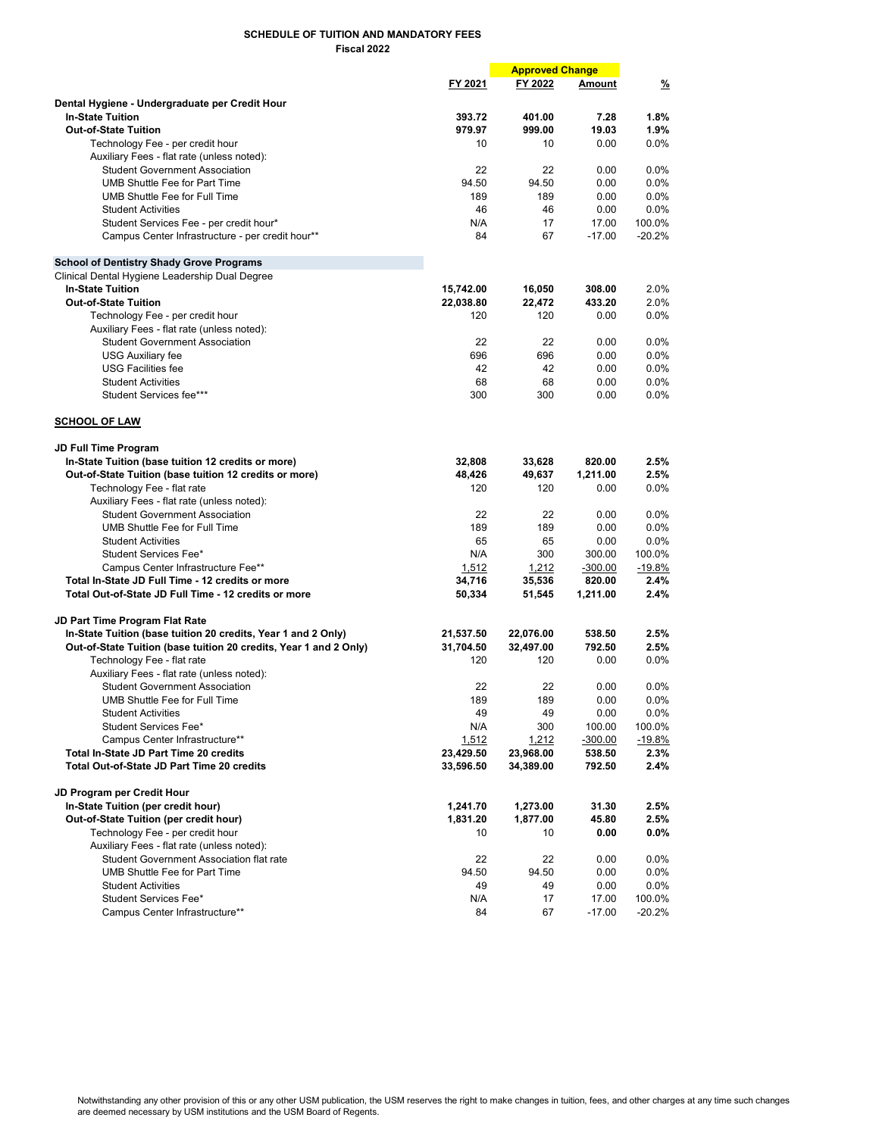|                                                                   |               | <b>Approved Change</b> |               |               |
|-------------------------------------------------------------------|---------------|------------------------|---------------|---------------|
|                                                                   | FY 2021       | FY 2022                | <b>Amount</b> | $\frac{9}{6}$ |
| Dental Hygiene - Undergraduate per Credit Hour                    |               |                        |               |               |
| <b>In-State Tuition</b>                                           | 393.72        | 401.00                 | 7.28          | 1.8%          |
| <b>Out-of-State Tuition</b>                                       | 979.97        | 999.00                 | 19.03         | 1.9%          |
| Technology Fee - per credit hour                                  | 10            | 10                     | 0.00          | 0.0%          |
| Auxiliary Fees - flat rate (unless noted):                        |               |                        |               |               |
| <b>Student Government Association</b>                             | 22            | 22                     | 0.00          | 0.0%          |
| <b>UMB Shuttle Fee for Part Time</b>                              | 94.50         | 94.50                  | 0.00          | 0.0%          |
| UMB Shuttle Fee for Full Time                                     | 189           | 189                    | 0.00          | 0.0%          |
| <b>Student Activities</b>                                         | 46            | 46                     | 0.00          | 0.0%          |
| Student Services Fee - per credit hour*                           | N/A           | 17                     | 17.00         | 100.0%        |
|                                                                   | 84            | 67                     | $-17.00$      | $-20.2%$      |
| Campus Center Infrastructure - per credit hour**                  |               |                        |               |               |
| <b>School of Dentistry Shady Grove Programs</b>                   |               |                        |               |               |
| Clinical Dental Hygiene Leadership Dual Degree                    |               |                        |               |               |
| <b>In-State Tuition</b>                                           | 15,742.00     | 16,050                 | 308.00        | 2.0%          |
| <b>Out-of-State Tuition</b>                                       | 22,038.80     | 22,472                 | 433.20        | 2.0%          |
| Technology Fee - per credit hour                                  | 120           | 120                    | 0.00          | 0.0%          |
| Auxiliary Fees - flat rate (unless noted):                        |               |                        |               |               |
| <b>Student Government Association</b>                             | 22            | 22                     | 0.00          | $0.0\%$       |
| <b>USG Auxiliary fee</b>                                          | 696           | 696                    | 0.00          | 0.0%          |
| <b>USG Facilities fee</b>                                         | 42            | 42                     | 0.00          | 0.0%          |
| <b>Student Activities</b>                                         | 68            | 68                     | 0.00          | $0.0\%$       |
| Student Services fee***                                           | 300           | 300                    |               | 0.0%          |
|                                                                   |               |                        | 0.00          |               |
| <b>SCHOOL OF LAW</b>                                              |               |                        |               |               |
| JD Full Time Program                                              |               |                        |               |               |
| In-State Tuition (base tuition 12 credits or more)                | 32,808        |                        | 820.00        | 2.5%          |
|                                                                   |               | 33,628                 | 1,211.00      | 2.5%          |
| Out-of-State Tuition (base tuition 12 credits or more)            | 48,426<br>120 | 49,637<br>120          | 0.00          | $0.0\%$       |
| Technology Fee - flat rate                                        |               |                        |               |               |
| Auxiliary Fees - flat rate (unless noted):                        |               |                        |               |               |
| <b>Student Government Association</b>                             | 22            | 22                     | 0.00          | $0.0\%$       |
| UMB Shuttle Fee for Full Time                                     | 189           | 189                    | 0.00          | 0.0%          |
| <b>Student Activities</b>                                         | 65            | 65                     | 0.00          | 0.0%          |
| Student Services Fee*                                             | N/A           | 300                    | 300.00        | 100.0%        |
| Campus Center Infrastructure Fee**                                | 1,512         | 1,212                  | $-300.00$     | $-19.8%$      |
| Total In-State JD Full Time - 12 credits or more                  | 34,716        | 35,536                 | 820.00        | 2.4%          |
| Total Out-of-State JD Full Time - 12 credits or more              | 50,334        | 51,545                 | 1,211.00      | 2.4%          |
| <b>JD Part Time Program Flat Rate</b>                             |               |                        |               |               |
| In-State Tuition (base tuition 20 credits, Year 1 and 2 Only)     | 21,537.50     | 22,076.00              | 538.50        | 2.5%          |
| Out-of-State Tuition (base tuition 20 credits, Year 1 and 2 Only) | 31,704.50     | 32,497.00              | 792.50        | 2.5%          |
| Technology Fee - flat rate                                        | 120           | 120                    | 0.00          | 0.0%          |
| Auxiliary Fees - flat rate (unless noted):                        |               |                        |               |               |
| <b>Student Government Association</b>                             | 22            | 22                     | 0.00          | $0.0\%$       |
| UMB Shuttle Fee for Full Time                                     | 189           | 189                    | 0.00          | 0.0%          |
| <b>Student Activities</b>                                         | 49            | 49                     | 0.00          | 0.0%          |
| Student Services Fee*                                             | N/A           | 300                    | 100.00        | 100.0%        |
| Campus Center Infrastructure**                                    | 1,512         | 1,212                  | $-300.00$     | -19.8%        |
| Total In-State JD Part Time 20 credits                            | 23,429.50     | 23,968.00              | 538.50        | $2.3\%$       |
| Total Out-of-State JD Part Time 20 credits                        | 33,596.50     | 34,389.00              | 792.50        | 2.4%          |
| JD Program per Credit Hour                                        |               |                        |               |               |
| In-State Tuition (per credit hour)                                | 1,241.70      | 1,273.00               | 31.30         | 2.5%          |
| Out-of-State Tuition (per credit hour)                            | 1,831.20      | 1,877.00               | 45.80         | 2.5%          |
| Technology Fee - per credit hour                                  | 10            | 10                     | 0.00          | $0.0\%$       |
| Auxiliary Fees - flat rate (unless noted):                        |               |                        |               |               |
| Student Government Association flat rate                          |               | 22                     |               |               |
|                                                                   | 22            |                        | 0.00          | $0.0\%$       |
| UMB Shuttle Fee for Part Time                                     | 94.50         | 94.50                  | 0.00          | $0.0\%$       |
| <b>Student Activities</b>                                         | 49            | 49                     | 0.00          | $0.0\%$       |
| Student Services Fee*                                             | N/A           | 17                     | 17.00         | 100.0%        |
| Campus Center Infrastructure**                                    | 84            | 67                     | $-17.00$      | $-20.2%$      |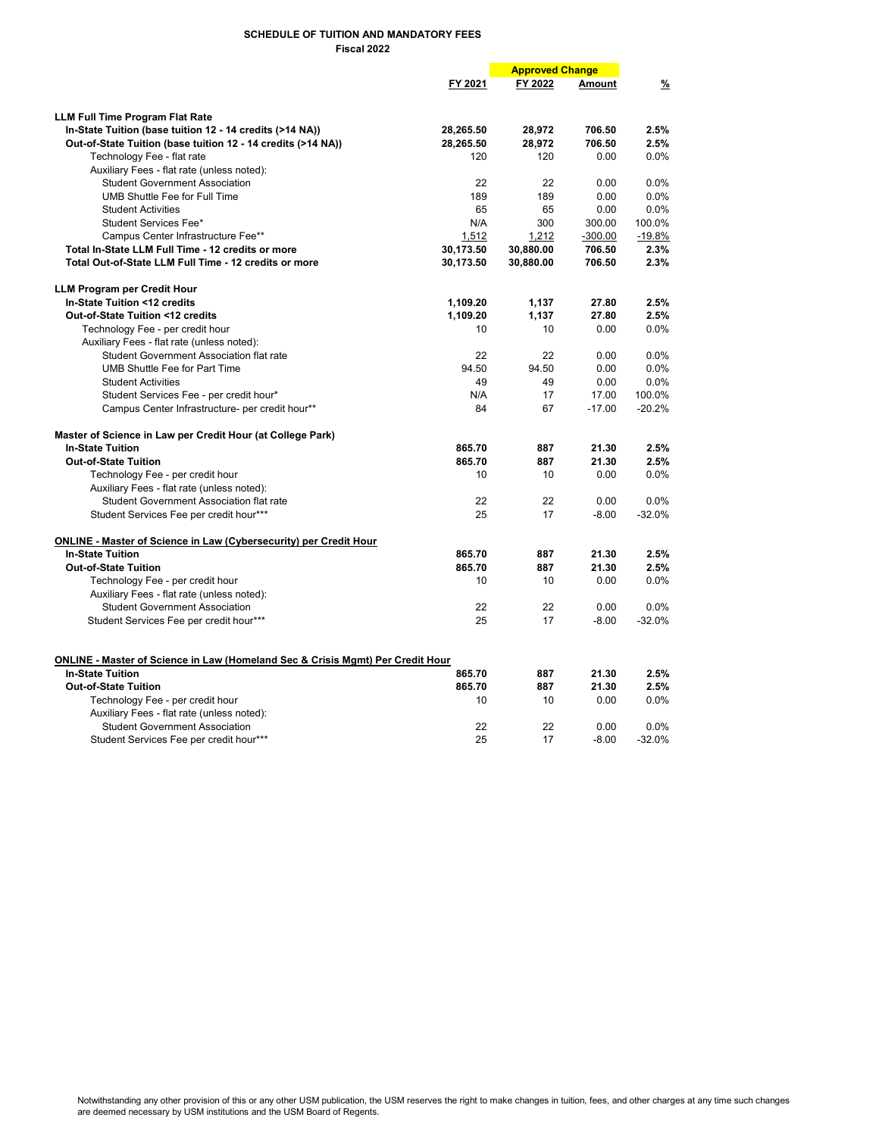|                                                                                                                      |           | <b>Approved Change</b> |           |               |
|----------------------------------------------------------------------------------------------------------------------|-----------|------------------------|-----------|---------------|
|                                                                                                                      | FY 2021   | FY 2022                | Amount    | $\frac{9}{6}$ |
|                                                                                                                      |           |                        |           |               |
| <b>LLM Full Time Program Flat Rate</b>                                                                               |           |                        |           |               |
| In-State Tuition (base tuition 12 - 14 credits (>14 NA))                                                             | 28,265.50 | 28,972                 | 706.50    | 2.5%          |
| Out-of-State Tuition (base tuition 12 - 14 credits (>14 NA))                                                         | 28,265.50 | 28,972                 | 706.50    | 2.5%          |
| Technology Fee - flat rate                                                                                           | 120       | 120                    | 0.00      | 0.0%          |
| Auxiliary Fees - flat rate (unless noted):                                                                           |           |                        |           |               |
| <b>Student Government Association</b>                                                                                | 22        | 22                     | 0.00      | 0.0%          |
| UMB Shuttle Fee for Full Time                                                                                        | 189       | 189                    | 0.00      | 0.0%          |
| <b>Student Activities</b>                                                                                            | 65        | 65                     | 0.00      | 0.0%          |
| Student Services Fee*                                                                                                | N/A       | 300                    | 300.00    | 100.0%        |
| Campus Center Infrastructure Fee**                                                                                   | 1,512     | 1,212                  | $-300.00$ | $-19.8%$      |
| Total In-State LLM Full Time - 12 credits or more                                                                    | 30,173.50 | 30,880.00              | 706.50    | 2.3%          |
| Total Out-of-State LLM Full Time - 12 credits or more                                                                | 30,173.50 | 30,880.00              | 706.50    | 2.3%          |
| <b>LLM Program per Credit Hour</b>                                                                                   |           |                        |           |               |
| In-State Tuition <12 credits                                                                                         | 1,109.20  | 1,137                  | 27.80     | 2.5%          |
| Out-of-State Tuition <12 credits                                                                                     | 1,109.20  | 1,137                  | 27.80     | 2.5%          |
| Technology Fee - per credit hour                                                                                     | 10        | 10                     | 0.00      | 0.0%          |
| Auxiliary Fees - flat rate (unless noted):                                                                           |           |                        |           |               |
| <b>Student Government Association flat rate</b>                                                                      | 22        | 22                     | 0.00      | 0.0%          |
| UMB Shuttle Fee for Part Time                                                                                        | 94.50     | 94.50                  | 0.00      | 0.0%          |
| <b>Student Activities</b>                                                                                            | 49        | 49                     | 0.00      | 0.0%          |
| Student Services Fee - per credit hour*                                                                              | N/A       | 17                     | 17.00     | 100.0%        |
| Campus Center Infrastructure- per credit hour**                                                                      | 84        | 67                     | $-17.00$  | $-20.2%$      |
| Master of Science in Law per Credit Hour (at College Park)                                                           |           |                        |           |               |
| <b>In-State Tuition</b>                                                                                              | 865.70    | 887                    | 21.30     | 2.5%          |
| <b>Out-of-State Tuition</b>                                                                                          | 865.70    | 887                    | 21.30     | 2.5%          |
| Technology Fee - per credit hour                                                                                     | 10        | 10                     | 0.00      | 0.0%          |
| Auxiliary Fees - flat rate (unless noted):                                                                           |           |                        |           |               |
| Student Government Association flat rate                                                                             | 22        | 22                     | 0.00      | $0.0\%$       |
| Student Services Fee per credit hour***                                                                              | 25        | 17                     | $-8.00$   | $-32.0%$      |
|                                                                                                                      |           |                        |           |               |
| ONLINE - Master of Science in Law (Cybersecurity) per Credit Hour                                                    |           |                        |           |               |
| <b>In-State Tuition</b>                                                                                              | 865.70    | 887                    | 21.30     | 2.5%          |
| <b>Out-of-State Tuition</b>                                                                                          | 865.70    | 887                    | 21.30     | 2.5%          |
| Technology Fee - per credit hour                                                                                     | 10        | 10                     | 0.00      | 0.0%          |
| Auxiliary Fees - flat rate (unless noted):                                                                           |           |                        |           |               |
| <b>Student Government Association</b>                                                                                | 22        | 22                     | 0.00      | 0.0%          |
| Student Services Fee per credit hour***                                                                              | 25        | 17                     | $-8.00$   | $-32.0%$      |
|                                                                                                                      |           |                        |           |               |
| <b>ONLINE - Master of Science in Law (Homeland Sec &amp; Crisis Mgmt) Per Credit Hour</b><br><b>In-State Tuition</b> | 865.70    | 887                    | 21.30     | 2.5%          |
| <b>Out-of-State Tuition</b>                                                                                          | 865.70    | 887                    | 21.30     | 2.5%          |
| Technology Fee - per credit hour                                                                                     | 10        | 10                     | 0.00      | 0.0%          |
| Auxiliary Fees - flat rate (unless noted):                                                                           |           |                        |           |               |
| <b>Student Government Association</b>                                                                                | 22        | 22                     | 0.00      | 0.0%          |
| Student Services Fee per credit hour***                                                                              | 25        | 17                     | $-8.00$   | $-32.0%$      |
|                                                                                                                      |           |                        |           |               |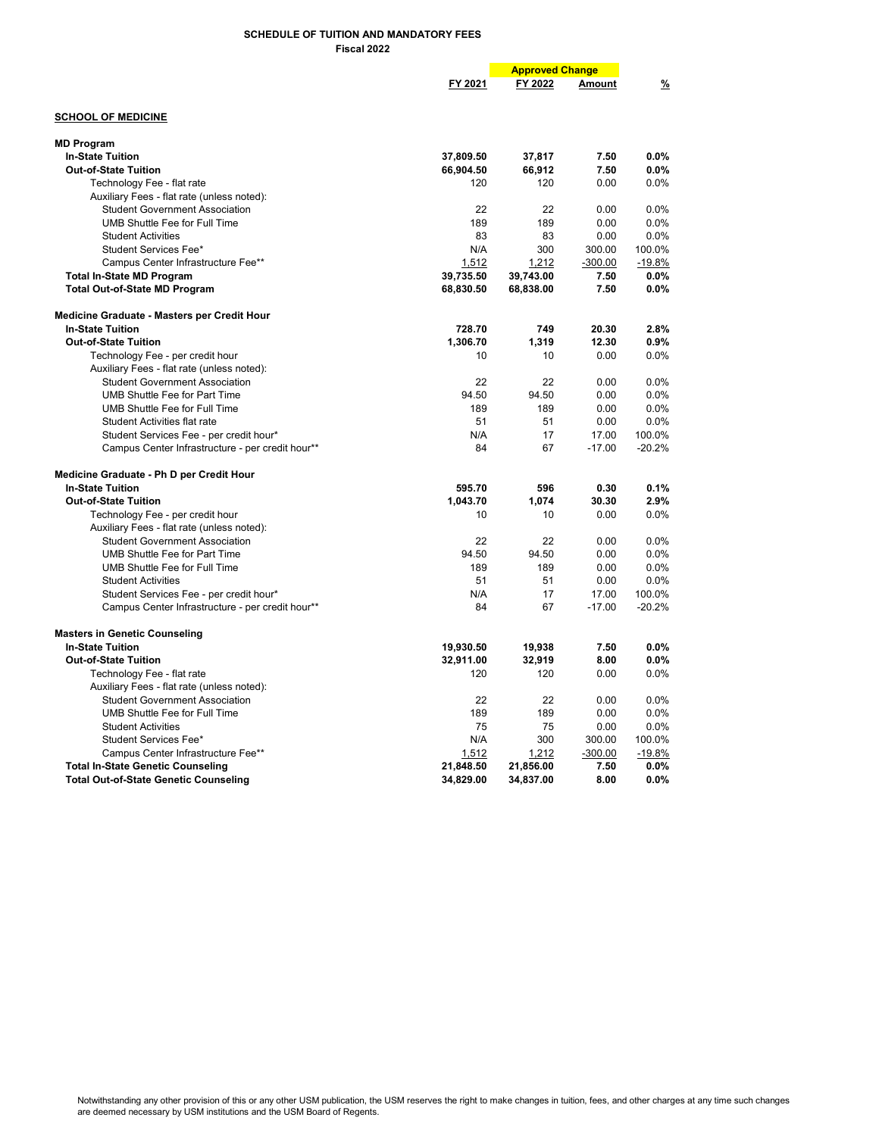|                                                                          |           | <b>Approved Change</b> |           |              |
|--------------------------------------------------------------------------|-----------|------------------------|-----------|--------------|
|                                                                          | FY 2021   | FY 2022                | Amount    | %            |
| <b>SCHOOL OF MEDICINE</b>                                                |           |                        |           |              |
|                                                                          |           |                        |           |              |
| <b>MD Program</b>                                                        |           |                        |           |              |
| <b>In-State Tuition</b>                                                  | 37,809.50 | 37,817                 | 7.50      | $0.0\%$      |
| <b>Out-of-State Tuition</b>                                              | 66,904.50 | 66,912                 | 7.50      | 0.0%<br>0.0% |
| Technology Fee - flat rate<br>Auxiliary Fees - flat rate (unless noted): | 120       | 120                    | 0.00      |              |
| <b>Student Government Association</b>                                    | 22        | 22                     | 0.00      | 0.0%         |
| UMB Shuttle Fee for Full Time                                            | 189       | 189                    | 0.00      | 0.0%         |
| <b>Student Activities</b>                                                | 83        | 83                     | 0.00      | 0.0%         |
| Student Services Fee*                                                    | N/A       | 300                    | 300.00    | 100.0%       |
| Campus Center Infrastructure Fee**                                       | 1,512     | 1,212                  | $-300.00$ | $-19.8%$     |
|                                                                          | 39,735.50 | 39,743.00              | 7.50      | 0.0%         |
| <b>Total In-State MD Program</b>                                         |           |                        | 7.50      | 0.0%         |
| <b>Total Out-of-State MD Program</b>                                     | 68,830.50 | 68,838.00              |           |              |
| Medicine Graduate - Masters per Credit Hour                              |           |                        |           |              |
| <b>In-State Tuition</b>                                                  | 728.70    | 749                    | 20.30     | 2.8%         |
| <b>Out-of-State Tuition</b>                                              | 1,306.70  | 1,319                  | 12.30     | 0.9%         |
| Technology Fee - per credit hour                                         | 10        | 10                     | 0.00      | 0.0%         |
| Auxiliary Fees - flat rate (unless noted):                               |           |                        |           |              |
| <b>Student Government Association</b>                                    | 22        | 22                     | 0.00      | 0.0%         |
| UMB Shuttle Fee for Part Time                                            | 94.50     | 94.50                  | 0.00      | 0.0%         |
| UMB Shuttle Fee for Full Time                                            | 189       | 189                    | 0.00      | 0.0%         |
| Student Activities flat rate                                             | 51        | 51                     | 0.00      | 0.0%         |
| Student Services Fee - per credit hour*                                  | N/A       | 17                     | 17.00     | 100.0%       |
| Campus Center Infrastructure - per credit hour**                         | 84        | 67                     | $-17.00$  | $-20.2%$     |
| Medicine Graduate - Ph D per Credit Hour                                 |           |                        |           |              |
| <b>In-State Tuition</b>                                                  | 595.70    | 596                    | 0.30      | 0.1%         |
| <b>Out-of-State Tuition</b>                                              | 1,043.70  | 1,074                  | 30.30     | 2.9%         |
| Technology Fee - per credit hour                                         | 10        | 10                     | 0.00      | 0.0%         |
| Auxiliary Fees - flat rate (unless noted):                               |           |                        |           |              |
| <b>Student Government Association</b>                                    | 22        | 22                     | 0.00      | 0.0%         |
| <b>UMB Shuttle Fee for Part Time</b>                                     | 94.50     | 94.50                  | 0.00      | 0.0%         |
| UMB Shuttle Fee for Full Time                                            | 189       | 189                    | 0.00      | 0.0%         |
| <b>Student Activities</b>                                                | 51        | 51                     | 0.00      | 0.0%         |
| Student Services Fee - per credit hour*                                  | N/A       | 17                     | 17.00     | 100.0%       |
| Campus Center Infrastructure - per credit hour**                         | 84        | 67                     | $-17.00$  | $-20.2%$     |
| <b>Masters in Genetic Counseling</b>                                     |           |                        |           |              |
| <b>In-State Tuition</b>                                                  | 19,930.50 | 19,938                 | 7.50      | 0.0%         |
| <b>Out-of-State Tuition</b>                                              | 32,911.00 | 32,919                 | 8.00      | 0.0%         |
| Technology Fee - flat rate                                               | 120       | 120                    | 0.00      | 0.0%         |
| Auxiliary Fees - flat rate (unless noted):                               |           |                        |           |              |
| <b>Student Government Association</b>                                    | 22        | 22                     | 0.00      | 0.0%         |
| <b>UMB Shuttle Fee for Full Time</b>                                     | 189       | 189                    | 0.00      | 0.0%         |
| <b>Student Activities</b>                                                | 75        | 75                     | 0.00      | 0.0%         |
| Student Services Fee*                                                    | N/A       | 300                    | 300.00    | 100.0%       |
| Campus Center Infrastructure Fee**                                       | 1,512     | 1,212                  | $-300.00$ | $-19.8%$     |
| <b>Total In-State Genetic Counseling</b>                                 | 21,848.50 | 21,856.00              | 7.50      | $0.0\%$      |
| <b>Total Out-of-State Genetic Counseling</b>                             | 34,829.00 | 34,837.00              | 8.00      | 0.0%         |
|                                                                          |           |                        |           |              |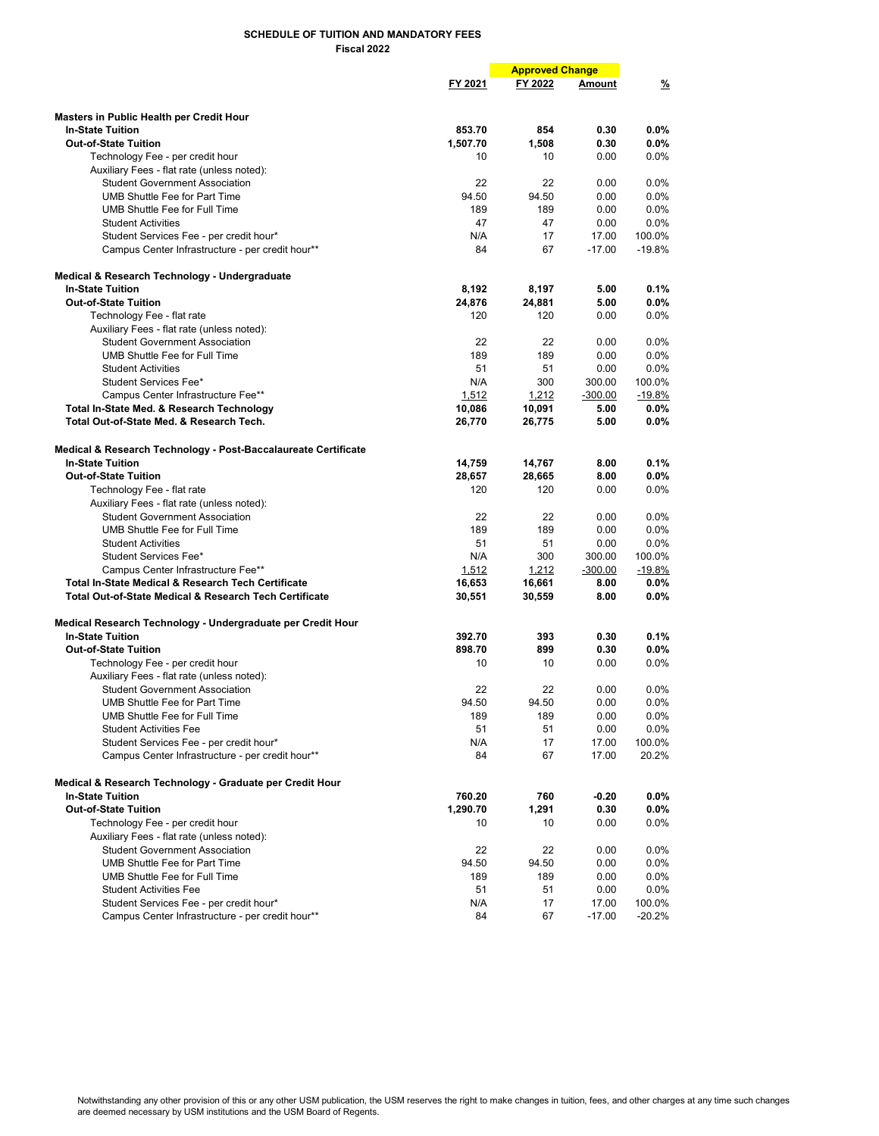|                                                                        |              | <b>Approved Change</b> |               |                    |
|------------------------------------------------------------------------|--------------|------------------------|---------------|--------------------|
|                                                                        | FY 2021      | FY 2022                | Amount        | $\frac{9}{6}$      |
|                                                                        |              |                        |               |                    |
| Masters in Public Health per Credit Hour                               |              |                        |               |                    |
| <b>In-State Tuition</b>                                                | 853.70       | 854                    | 0.30          | $0.0\%$            |
| <b>Out-of-State Tuition</b>                                            | 1,507.70     | 1,508                  | 0.30          | 0.0%               |
| Technology Fee - per credit hour                                       | 10           | 10                     | 0.00          | 0.0%               |
| Auxiliary Fees - flat rate (unless noted):                             |              |                        |               |                    |
| <b>Student Government Association</b><br>UMB Shuttle Fee for Part Time | 22           | 22                     | 0.00          | $0.0\%$            |
| UMB Shuttle Fee for Full Time                                          | 94.50<br>189 | 94.50<br>189           | 0.00          | $0.0\%$<br>$0.0\%$ |
|                                                                        | 47           | 47                     | 0.00          | 0.0%               |
| <b>Student Activities</b><br>Student Services Fee - per credit hour*   | N/A          | 17                     | 0.00<br>17.00 | 100.0%             |
| Campus Center Infrastructure - per credit hour**                       | 84           | 67                     | $-17.00$      | $-19.8%$           |
|                                                                        |              |                        |               |                    |
| Medical & Research Technology - Undergraduate                          |              |                        |               |                    |
| <b>In-State Tuition</b>                                                | 8,192        | 8,197                  | 5.00          | 0.1%               |
| <b>Out-of-State Tuition</b>                                            | 24,876       | 24,881                 | 5.00          | $0.0\%$            |
| Technology Fee - flat rate                                             | 120          | 120                    | 0.00          | 0.0%               |
| Auxiliary Fees - flat rate (unless noted):                             |              |                        |               |                    |
| <b>Student Government Association</b>                                  | 22           | 22                     | 0.00          | 0.0%               |
| UMB Shuttle Fee for Full Time                                          | 189          | 189                    | 0.00          | $0.0\%$            |
| <b>Student Activities</b>                                              | 51           | 51                     | 0.00          | $0.0\%$            |
| Student Services Fee*                                                  | N/A          | 300                    | 300.00        | 100.0%             |
| Campus Center Infrastructure Fee**                                     | 1.512        | 1,212                  | $-300.00$     | $-19.8%$           |
| Total In-State Med. & Research Technology                              | 10,086       | 10,091                 | 5.00          | 0.0%               |
| Total Out-of-State Med. & Research Tech.                               | 26,770       | 26,775                 | 5.00          | $0.0\%$            |
| Medical & Research Technology - Post-Baccalaureate Certificate         |              |                        |               |                    |
| <b>In-State Tuition</b>                                                | 14,759       | 14,767                 | 8.00          | 0.1%               |
| <b>Out-of-State Tuition</b>                                            | 28,657       | 28,665                 | 8.00          | $0.0\%$            |
| Technology Fee - flat rate                                             | 120          | 120                    | 0.00          | 0.0%               |
| Auxiliary Fees - flat rate (unless noted):                             |              |                        |               |                    |
| <b>Student Government Association</b>                                  | 22           | 22                     | 0.00          | $0.0\%$            |
| UMB Shuttle Fee for Full Time                                          | 189          | 189                    | 0.00          | $0.0\%$            |
| <b>Student Activities</b>                                              | 51           | 51                     | 0.00          | $0.0\%$            |
| Student Services Fee*                                                  | N/A          | 300                    | 300.00        | 100.0%             |
| Campus Center Infrastructure Fee**                                     | 1,512        | 1,212                  | $-300.00$     | $-19.8%$           |
| <b>Total In-State Medical &amp; Research Tech Certificate</b>          | 16,653       | 16,661                 | 8.00          | $0.0\%$            |
| <b>Total Out-of-State Medical &amp; Research Tech Certificate</b>      | 30,551       | 30,559                 | 8.00          | $0.0\%$            |
|                                                                        |              |                        |               |                    |
| Medical Research Technology - Undergraduate per Credit Hour            |              |                        |               |                    |
| <b>In-State Tuition</b>                                                | 392.70       | 393                    | 0.30          | 0.1%               |
| <b>Out-of-State Tuition</b>                                            | 898.70       | 899                    | 0.30          | $0.0\%$            |
| Technology Fee - per credit hour                                       | 10           | 10                     | 0.00          | $0.0\%$            |
| Auxiliary Fees - flat rate (unless noted):                             |              |                        |               |                    |
| <b>Student Government Association</b>                                  | 22           | 22                     | 0.00          | $0.0\%$            |
| UMB Shuttle Fee for Part Time                                          | 94.50        | 94.50                  | 0.00          | 0.0%               |
| UMB Shuttle Fee for Full Time                                          | 189          | 189                    | 0.00          | $0.0\%$            |
| <b>Student Activities Fee</b>                                          | 51           | 51                     | 0.00          | $0.0\%$            |
| Student Services Fee - per credit hour*                                | N/A          | 17                     | 17.00         | 100.0%             |
| Campus Center Infrastructure - per credit hour**                       | 84           | 67                     | 17.00         | 20.2%              |
| Medical & Research Technology - Graduate per Credit Hour               |              |                        |               |                    |
| <b>In-State Tuition</b>                                                | 760.20       | 760                    | -0.20         | $0.0\%$            |
| <b>Out-of-State Tuition</b>                                            | 1,290.70     | 1,291                  | 0.30          | $0.0\%$            |
| Technology Fee - per credit hour                                       | 10           | 10                     | 0.00          | $0.0\%$            |
| Auxiliary Fees - flat rate (unless noted):                             |              |                        |               |                    |
| <b>Student Government Association</b>                                  | 22           | 22                     | 0.00          | $0.0\%$            |
| UMB Shuttle Fee for Part Time                                          | 94.50        | 94.50                  | 0.00          | $0.0\%$            |
| UMB Shuttle Fee for Full Time                                          | 189          | 189                    | 0.00          | $0.0\%$            |
| <b>Student Activities Fee</b>                                          | 51           | 51                     | 0.00          | $0.0\%$            |
| Student Services Fee - per credit hour*                                | N/A          | 17                     | 17.00         | 100.0%             |
| Campus Center Infrastructure - per credit hour**                       | 84           | 67                     | $-17.00$      | $-20.2%$           |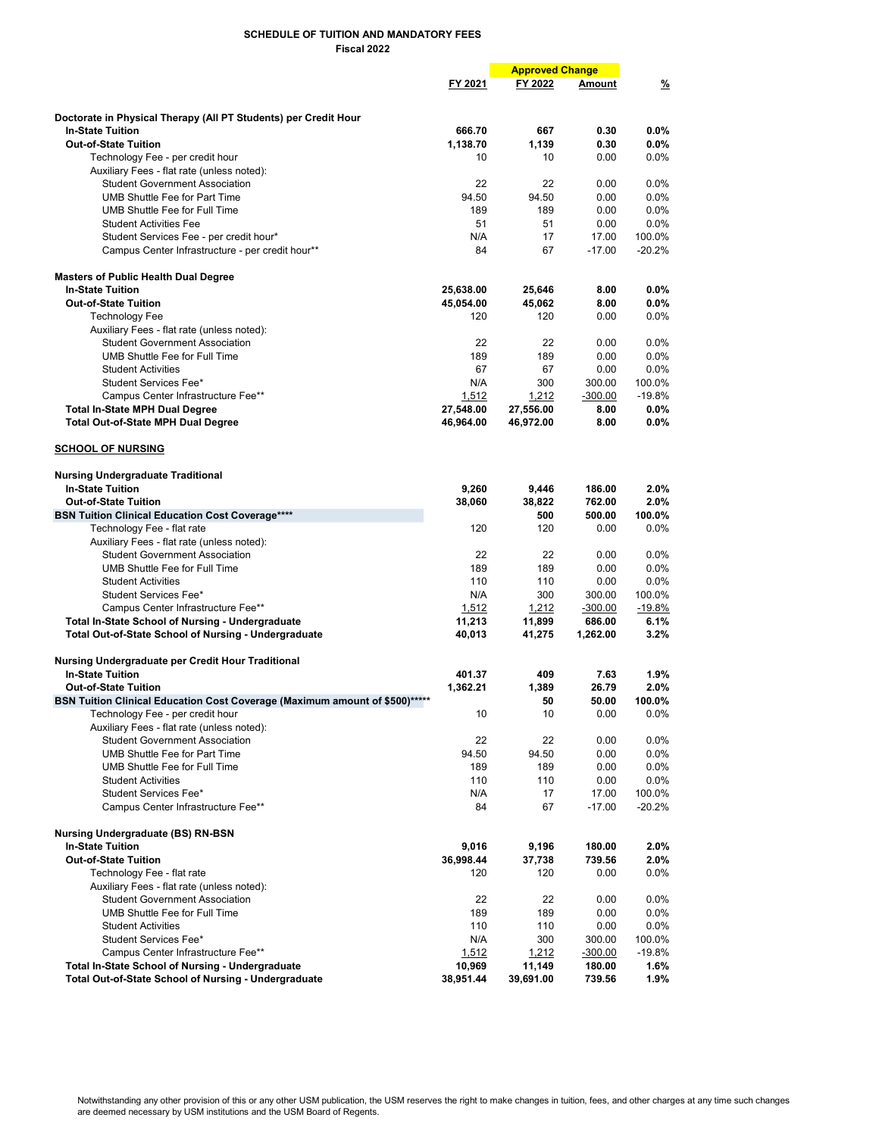|                                                                             |           | <b>Approved Change</b> |                   |                    |
|-----------------------------------------------------------------------------|-----------|------------------------|-------------------|--------------------|
|                                                                             | FY 2021   | FY 2022                | Amount            | $\frac{9}{6}$      |
|                                                                             |           |                        |                   |                    |
| Doctorate in Physical Therapy (All PT Students) per Credit Hour             |           |                        |                   |                    |
| <b>In-State Tuition</b>                                                     | 666.70    | 667                    | 0.30              | $0.0\%$            |
| <b>Out-of-State Tuition</b>                                                 | 1,138.70  | 1.139                  | 0.30              | $0.0\%$            |
| Technology Fee - per credit hour                                            | 10        | 10                     | 0.00              | 0.0%               |
| Auxiliary Fees - flat rate (unless noted):                                  |           |                        |                   |                    |
| <b>Student Government Association</b>                                       | 22        | 22                     | 0.00              | $0.0\%$            |
| <b>UMB Shuttle Fee for Part Time</b>                                        | 94.50     | 94.50                  | 0.00              | 0.0%               |
| UMB Shuttle Fee for Full Time                                               | 189       | 189                    | 0.00              | 0.0%               |
| <b>Student Activities Fee</b>                                               | 51        | 51                     | 0.00              | 0.0%               |
| Student Services Fee - per credit hour*                                     | N/A       | 17                     | 17.00             | 100.0%             |
| Campus Center Infrastructure - per credit hour**                            | 84        | 67                     | $-17.00$          | $-20.2%$           |
|                                                                             |           |                        |                   |                    |
| <b>Masters of Public Health Dual Degree</b>                                 |           |                        |                   |                    |
| <b>In-State Tuition</b>                                                     | 25,638.00 | 25,646                 | 8.00              | $0.0\%$            |
| <b>Out-of-State Tuition</b>                                                 | 45,054.00 | 45,062                 | 8.00              | $0.0\%$            |
| <b>Technology Fee</b>                                                       | 120       | 120                    | 0.00              | 0.0%               |
| Auxiliary Fees - flat rate (unless noted):                                  |           |                        |                   |                    |
| <b>Student Government Association</b>                                       | 22        | 22                     | 0.00              | 0.0%               |
| UMB Shuttle Fee for Full Time                                               | 189       | 189                    | 0.00              | 0.0%               |
| <b>Student Activities</b>                                                   | 67        | 67                     | 0.00              | 0.0%               |
| Student Services Fee*                                                       | N/A       | 300                    | 300.00            | 100.0%             |
| Campus Center Infrastructure Fee**                                          | 1,512     | 1,212                  | $-300.00$         | $-19.8%$           |
| <b>Total In-State MPH Dual Degree</b>                                       | 27,548.00 | 27,556.00              | 8.00              | $0.0\%$            |
| <b>Total Out-of-State MPH Dual Degree</b>                                   | 46,964.00 | 46,972.00              | 8.00              | $0.0\%$            |
| <b>SCHOOL OF NURSING</b>                                                    |           |                        |                   |                    |
| <b>Nursing Undergraduate Traditional</b>                                    |           |                        |                   |                    |
| <b>In-State Tuition</b>                                                     | 9,260     | 9,446                  | 186.00            | 2.0%               |
| <b>Out-of-State Tuition</b>                                                 | 38,060    | 38,822                 | 762.00            | 2.0%               |
| <b>BSN Tuition Clinical Education Cost Coverage****</b>                     |           | 500                    | 500.00            | 100.0%             |
| Technology Fee - flat rate                                                  | 120       | 120                    | 0.00              | $0.0\%$            |
| Auxiliary Fees - flat rate (unless noted):                                  |           |                        |                   |                    |
| <b>Student Government Association</b>                                       | 22        | 22                     | 0.00              | $0.0\%$            |
| UMB Shuttle Fee for Full Time                                               | 189       | 189                    | 0.00              | $0.0\%$            |
| <b>Student Activities</b>                                                   | 110       | 110                    | 0.00              | $0.0\%$            |
| Student Services Fee*                                                       | N/A       | 300                    | 300.00            | 100.0%             |
| Campus Center Infrastructure Fee**                                          | 1,512     | 1,212                  | $-300.00$         | $-19.8%$           |
| <b>Total In-State School of Nursing - Undergraduate</b>                     | 11,213    | 11,899                 | 686.00            | 6.1%               |
| <b>Total Out-of-State School of Nursing - Undergraduate</b>                 |           |                        |                   | 3.2%               |
|                                                                             | 40,013    | 41,275                 | 1,262.00          |                    |
| Nursing Undergraduate per Credit Hour Traditional                           |           |                        |                   |                    |
| <b>In-State Tuition</b>                                                     | 401.37    | 409                    | 7.63              | 1.9%               |
| <b>Out-of-State Tuition</b>                                                 | 1.362.21  | 1,389                  | 26.79             | 2.0%               |
| BSN Tuition Clinical Education Cost Coverage (Maximum amount of \$500)***** |           | 50                     | 50.00             | 100.0%             |
| Technology Fee - per credit hour                                            | 10        | 10                     | 0.00              | 0.0%               |
| Auxiliary Fees - flat rate (unless noted):                                  |           |                        |                   |                    |
| <b>Student Government Association</b>                                       | 22        | 22                     | 0.00              | $0.0\%$            |
| <b>UMB Shuttle Fee for Part Time</b>                                        | 94.50     | 94.50                  | 0.00              | $0.0\%$            |
| <b>UMB Shuttle Fee for Full Time</b>                                        | 189       | 189                    | 0.00              | $0.0\%$            |
| <b>Student Activities</b>                                                   | 110       | 110                    |                   | 0.0%               |
| Student Services Fee*                                                       | N/A       | 17                     | 0.00              |                    |
| Campus Center Infrastructure Fee**                                          | 84        | 67                     | 17.00<br>$-17.00$ | 100.0%<br>$-20.2%$ |
|                                                                             |           |                        |                   |                    |
| <b>Nursing Undergraduate (BS) RN-BSN</b>                                    |           |                        |                   |                    |
| <b>In-State Tuition</b>                                                     | 9,016     | 9,196                  | 180.00            | $2.0\%$            |
| <b>Out-of-State Tuition</b>                                                 | 36,998.44 | 37,738                 | 739.56            | 2.0%               |
| Technology Fee - flat rate                                                  | 120       | 120                    | 0.00              | $0.0\%$            |
| Auxiliary Fees - flat rate (unless noted):                                  |           |                        |                   |                    |
| <b>Student Government Association</b>                                       | 22        | 22                     | 0.00              | 0.0%               |
| UMB Shuttle Fee for Full Time                                               | 189       | 189                    | 0.00              | $0.0\%$            |
| <b>Student Activities</b>                                                   | 110       | 110                    | 0.00              | $0.0\%$            |
| Student Services Fee*                                                       | N/A       | 300                    | 300.00            | 100.0%             |
| Campus Center Infrastructure Fee**                                          | 1,512     | 1,212                  | $-300.00$         | $-19.8%$           |
| Total In-State School of Nursing - Undergraduate                            | 10,969    | 11,149                 | 180.00            | 1.6%               |
| <b>Total Out-of-State School of Nursing - Undergraduate</b>                 | 38,951.44 | 39,691.00              | 739.56            | 1.9%               |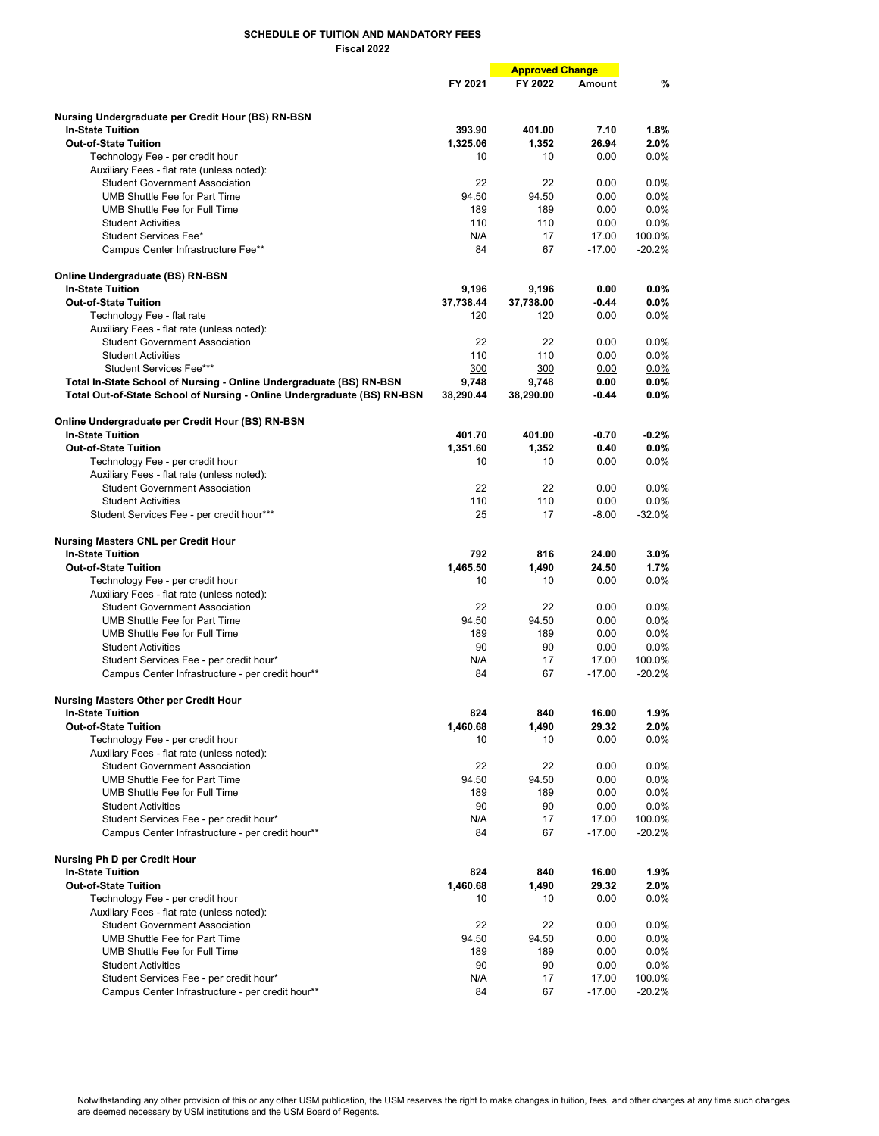|                                                                         |           | <b>Approved Change</b> |          |               |
|-------------------------------------------------------------------------|-----------|------------------------|----------|---------------|
|                                                                         | FY 2021   | FY 2022                | Amount   | $\frac{9}{6}$ |
|                                                                         |           |                        |          |               |
|                                                                         |           |                        |          |               |
| Nursing Undergraduate per Credit Hour (BS) RN-BSN                       |           |                        |          |               |
| <b>In-State Tuition</b>                                                 | 393.90    | 401.00                 | 7.10     | 1.8%          |
| <b>Out-of-State Tuition</b>                                             | 1,325.06  | 1,352                  | 26.94    | 2.0%          |
| Technology Fee - per credit hour                                        | 10        | 10                     | 0.00     | 0.0%          |
| Auxiliary Fees - flat rate (unless noted):                              |           |                        |          |               |
| <b>Student Government Association</b>                                   | 22        | 22                     | 0.00     | 0.0%          |
| UMB Shuttle Fee for Part Time                                           | 94.50     | 94.50                  | 0.00     | 0.0%          |
| UMB Shuttle Fee for Full Time                                           | 189       | 189                    | 0.00     | 0.0%          |
| <b>Student Activities</b>                                               | 110       | 110                    | 0.00     | $0.0\%$       |
| Student Services Fee*                                                   | N/A       | 17                     | 17.00    | 100.0%        |
| Campus Center Infrastructure Fee**                                      | 84        | 67                     | $-17.00$ | $-20.2%$      |
|                                                                         |           |                        |          |               |
| Online Undergraduate (BS) RN-BSN                                        |           |                        |          |               |
| <b>In-State Tuition</b>                                                 | 9,196     | 9,196                  | 0.00     | 0.0%          |
| <b>Out-of-State Tuition</b>                                             | 37,738.44 | 37,738.00              | $-0.44$  | $0.0\%$       |
| Technology Fee - flat rate                                              | 120       | 120                    | 0.00     | $0.0\%$       |
| Auxiliary Fees - flat rate (unless noted):                              |           |                        |          |               |
| <b>Student Government Association</b>                                   | 22        | 22                     | 0.00     | $0.0\%$       |
| <b>Student Activities</b>                                               | 110       | 110                    | 0.00     | 0.0%          |
| Student Services Fee***                                                 | 300       | 300                    | 0.00     | $0.0\%$       |
| Total In-State School of Nursing - Online Undergraduate (BS) RN-BSN     | 9,748     | 9,748                  | 0.00     | $0.0\%$       |
| Total Out-of-State School of Nursing - Online Undergraduate (BS) RN-BSN | 38,290.44 | 38,290.00              | $-0.44$  | $0.0\%$       |
|                                                                         |           |                        |          |               |
| Online Undergraduate per Credit Hour (BS) RN-BSN                        |           |                        |          |               |
| <b>In-State Tuition</b>                                                 | 401.70    | 401.00                 | $-0.70$  | $-0.2%$       |
| <b>Out-of-State Tuition</b>                                             | 1,351.60  | 1.352                  | 0.40     | $0.0\%$       |
| Technology Fee - per credit hour                                        | 10        | 10                     | 0.00     | 0.0%          |
|                                                                         |           |                        |          |               |
| Auxiliary Fees - flat rate (unless noted):                              |           |                        |          |               |
| <b>Student Government Association</b>                                   | 22        | 22                     | 0.00     | $0.0\%$       |
| <b>Student Activities</b>                                               | 110       | 110                    | 0.00     | $0.0\%$       |
| Student Services Fee - per credit hour***                               | 25        | 17                     | $-8.00$  | $-32.0%$      |
|                                                                         |           |                        |          |               |
| <b>Nursing Masters CNL per Credit Hour</b>                              |           |                        |          |               |
| <b>In-State Tuition</b>                                                 | 792       | 816                    | 24.00    | 3.0%          |
| <b>Out-of-State Tuition</b>                                             | 1,465.50  | 1,490                  | 24.50    | 1.7%          |
| Technology Fee - per credit hour                                        | 10        | 10                     | 0.00     | 0.0%          |
| Auxiliary Fees - flat rate (unless noted):                              |           |                        |          |               |
| <b>Student Government Association</b>                                   | 22        | 22                     | 0.00     | 0.0%          |
| UMB Shuttle Fee for Part Time                                           | 94.50     | 94.50                  | 0.00     | 0.0%          |
| UMB Shuttle Fee for Full Time                                           | 189       | 189                    | 0.00     | 0.0%          |
| <b>Student Activities</b>                                               | 90        | 90                     | 0.00     | 0.0%          |
| Student Services Fee - per credit hour*                                 | N/A       | 17                     | 17.00    | 100.0%        |
| Campus Center Infrastructure - per credit hour**                        | 84        | 67                     | $-17.00$ | $-20.2%$      |
|                                                                         |           |                        |          |               |
| <b>Nursing Masters Other per Credit Hour</b>                            |           |                        |          |               |
| <b>In-State Tuition</b>                                                 | 824       | 840                    | 16.00    | $1.9\%$       |
| <b>Out-of-State Tuition</b>                                             | 1,460.68  | 1,490                  | 29.32    | 2.0%          |
| Technology Fee - per credit hour                                        | 10        | 10                     | 0.00     | $0.0\%$       |
| Auxiliary Fees - flat rate (unless noted):                              |           |                        |          |               |
| <b>Student Government Association</b>                                   | 22        | 22                     | 0.00     | 0.0%          |
| <b>UMB Shuttle Fee for Part Time</b>                                    | 94.50     | 94.50                  | 0.00     | 0.0%          |
| UMB Shuttle Fee for Full Time                                           | 189       | 189                    | 0.00     | $0.0\%$       |
| <b>Student Activities</b>                                               | 90        | 90                     | 0.00     | 0.0%          |
| Student Services Fee - per credit hour*                                 | N/A       | 17                     | 17.00    | 100.0%        |
| Campus Center Infrastructure - per credit hour**                        | 84        | 67                     | $-17.00$ | $-20.2%$      |
|                                                                         |           |                        |          |               |
| Nursing Ph D per Credit Hour                                            |           |                        |          |               |
| <b>In-State Tuition</b>                                                 | 824       | 840                    | 16.00    |               |
|                                                                         |           |                        |          | 1.9%          |
| <b>Out-of-State Tuition</b>                                             | 1,460.68  | 1,490                  | 29.32    | $2.0\%$       |
| Technology Fee - per credit hour                                        | 10        | 10                     | 0.00     | $0.0\%$       |
| Auxiliary Fees - flat rate (unless noted):                              |           |                        |          |               |
| <b>Student Government Association</b>                                   | 22        | 22                     | 0.00     | $0.0\%$       |
| <b>UMB Shuttle Fee for Part Time</b>                                    | 94.50     | 94.50                  | 0.00     | $0.0\%$       |
| UMB Shuttle Fee for Full Time                                           | 189       | 189                    | 0.00     | $0.0\%$       |
| <b>Student Activities</b>                                               | 90        | 90                     | 0.00     | $0.0\%$       |
| Student Services Fee - per credit hour*                                 | N/A       | 17                     | 17.00    | 100.0%        |
| Campus Center Infrastructure - per credit hour**                        | 84        | 67                     | $-17.00$ | $-20.2%$      |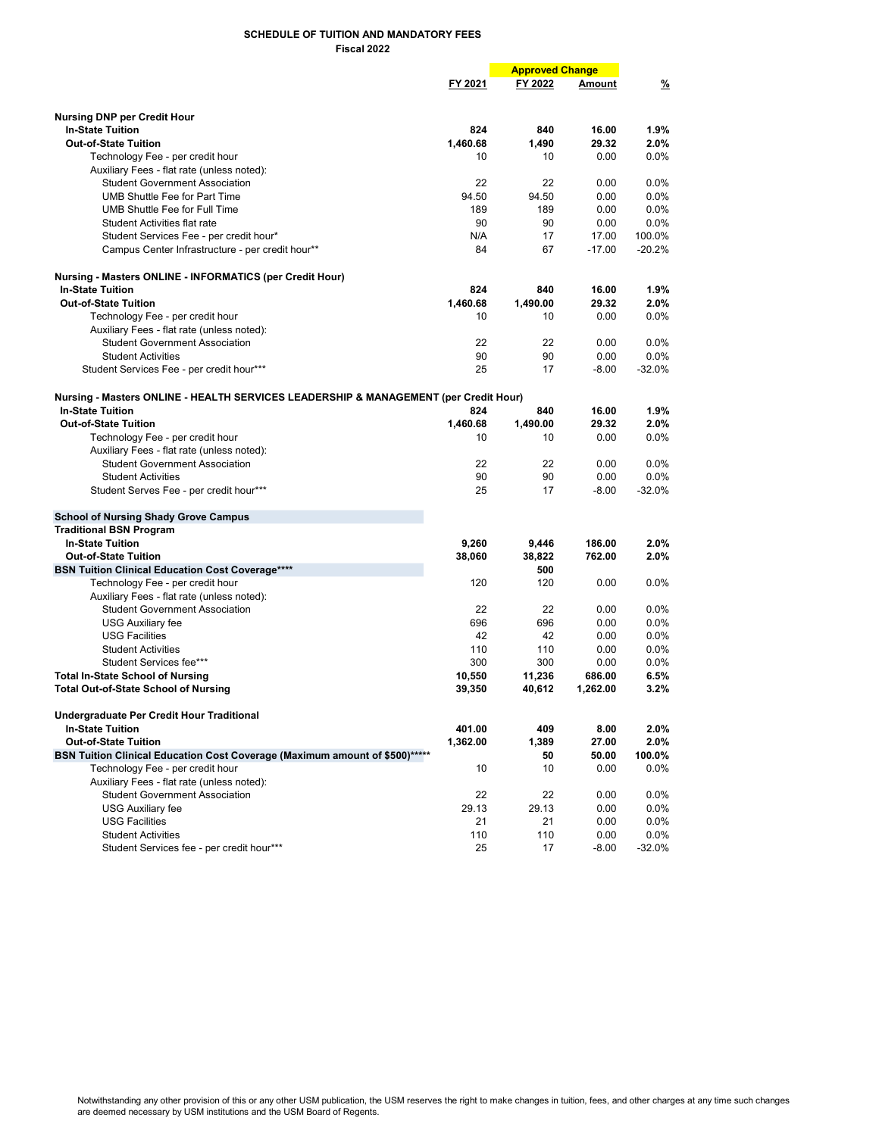|                                                                                      |          | <b>Approved Change</b> |          |               |
|--------------------------------------------------------------------------------------|----------|------------------------|----------|---------------|
|                                                                                      | FY 2021  | FY 2022                | Amount   | $\frac{9}{6}$ |
|                                                                                      |          |                        |          |               |
| <b>Nursing DNP per Credit Hour</b>                                                   |          |                        |          |               |
| <b>In-State Tuition</b>                                                              | 824      | 840                    | 16.00    | 1.9%          |
| <b>Out-of-State Tuition</b>                                                          | 1,460.68 | 1,490                  | 29.32    | 2.0%          |
| Technology Fee - per credit hour                                                     | 10       | 10                     | 0.00     | 0.0%          |
| Auxiliary Fees - flat rate (unless noted):                                           |          |                        |          |               |
| <b>Student Government Association</b>                                                | 22       | 22                     | 0.00     | 0.0%          |
| <b>UMB Shuttle Fee for Part Time</b>                                                 | 94.50    | 94.50                  | 0.00     | 0.0%          |
| UMB Shuttle Fee for Full Time                                                        | 189      | 189                    | 0.00     | 0.0%          |
| Student Activities flat rate                                                         | 90       | 90                     | 0.00     | $0.0\%$       |
| Student Services Fee - per credit hour*                                              | N/A      | 17                     | 17.00    | 100.0%        |
| Campus Center Infrastructure - per credit hour**                                     | 84       | 67                     | $-17.00$ | $-20.2%$      |
| <b>Nursing - Masters ONLINE - INFORMATICS (per Credit Hour)</b>                      |          |                        |          |               |
| <b>In-State Tuition</b>                                                              | 824      | 840                    | 16.00    | $1.9\%$       |
| <b>Out-of-State Tuition</b>                                                          | 1,460.68 | 1,490.00               | 29.32    | 2.0%          |
| Technology Fee - per credit hour                                                     | 10       | 10                     | 0.00     | 0.0%          |
| Auxiliary Fees - flat rate (unless noted):                                           |          |                        |          |               |
| <b>Student Government Association</b>                                                | 22       | 22                     | 0.00     | 0.0%          |
| <b>Student Activities</b>                                                            | 90       | 90                     | 0.00     | $0.0\%$       |
| Student Services Fee - per credit hour***                                            | 25       | 17                     | $-8.00$  | $-32.0%$      |
|                                                                                      |          |                        |          |               |
| Nursing - Masters ONLINE - HEALTH SERVICES LEADERSHIP & MANAGEMENT (per Credit Hour) |          |                        |          |               |
| <b>In-State Tuition</b>                                                              | 824      | 840                    | 16.00    | $1.9\%$       |
| <b>Out-of-State Tuition</b>                                                          | 1,460.68 | 1,490.00               | 29.32    | 2.0%          |
| Technology Fee - per credit hour                                                     | 10       | 10                     | 0.00     | 0.0%          |
| Auxiliary Fees - flat rate (unless noted):                                           |          |                        |          |               |
| <b>Student Government Association</b>                                                | 22       | 22                     | 0.00     | 0.0%          |
| <b>Student Activities</b>                                                            | 90       | 90                     | 0.00     | $0.0\%$       |
| Student Serves Fee - per credit hour***                                              | 25       | 17                     | $-8.00$  | $-32.0%$      |
| <b>School of Nursing Shady Grove Campus</b>                                          |          |                        |          |               |
| <b>Traditional BSN Program</b>                                                       |          |                        |          |               |
| <b>In-State Tuition</b>                                                              | 9,260    | 9,446                  | 186.00   | 2.0%          |
| <b>Out-of-State Tuition</b>                                                          | 38,060   | 38,822                 | 762.00   | 2.0%          |
| <b>BSN Tuition Clinical Education Cost Coverage****</b>                              |          | 500                    |          |               |
| Technology Fee - per credit hour                                                     | 120      | 120                    | 0.00     | 0.0%          |
| Auxiliary Fees - flat rate (unless noted):                                           |          |                        |          |               |
| <b>Student Government Association</b>                                                | 22       | 22                     | 0.00     | 0.0%          |
| <b>USG Auxiliary fee</b>                                                             | 696      | 696                    | 0.00     | 0.0%          |
| <b>USG Facilities</b>                                                                | 42       | 42                     | 0.00     | $0.0\%$       |
| <b>Student Activities</b>                                                            | 110      | 110                    | 0.00     | 0.0%          |
| Student Services fee***                                                              | 300      | 300                    | 0.00     | 0.0%          |
| <b>Total In-State School of Nursing</b>                                              | 10,550   | 11,236                 | 686.00   | 6.5%          |
| <b>Total Out-of-State School of Nursing</b>                                          | 39,350   | 40,612                 | 1,262.00 | 3.2%          |
| <b>Undergraduate Per Credit Hour Traditional</b>                                     |          |                        |          |               |
| <b>In-State Tuition</b>                                                              | 401.00   | 409                    | 8.00     | 2.0%          |
| <b>Out-of-State Tuition</b>                                                          | 1,362.00 | 1,389                  | 27.00    | 2.0%          |
| BSN Tuition Clinical Education Cost Coverage (Maximum amount of \$500)*****          |          | 50                     | 50.00    | 100.0%        |
| Technology Fee - per credit hour                                                     | 10       | 10                     | 0.00     | $0.0\%$       |
| Auxiliary Fees - flat rate (unless noted):                                           |          |                        |          |               |
| <b>Student Government Association</b>                                                | 22       | 22                     | 0.00     | 0.0%          |
| <b>USG Auxiliary fee</b>                                                             | 29.13    | 29.13                  | 0.00     | $0.0\%$       |
| <b>USG Facilities</b>                                                                | 21       | 21                     | 0.00     | $0.0\%$       |
| <b>Student Activities</b>                                                            | 110      | 110                    | 0.00     | 0.0%          |
| Student Services fee - per credit hour***                                            | 25       | 17                     | $-8.00$  | -32.0%        |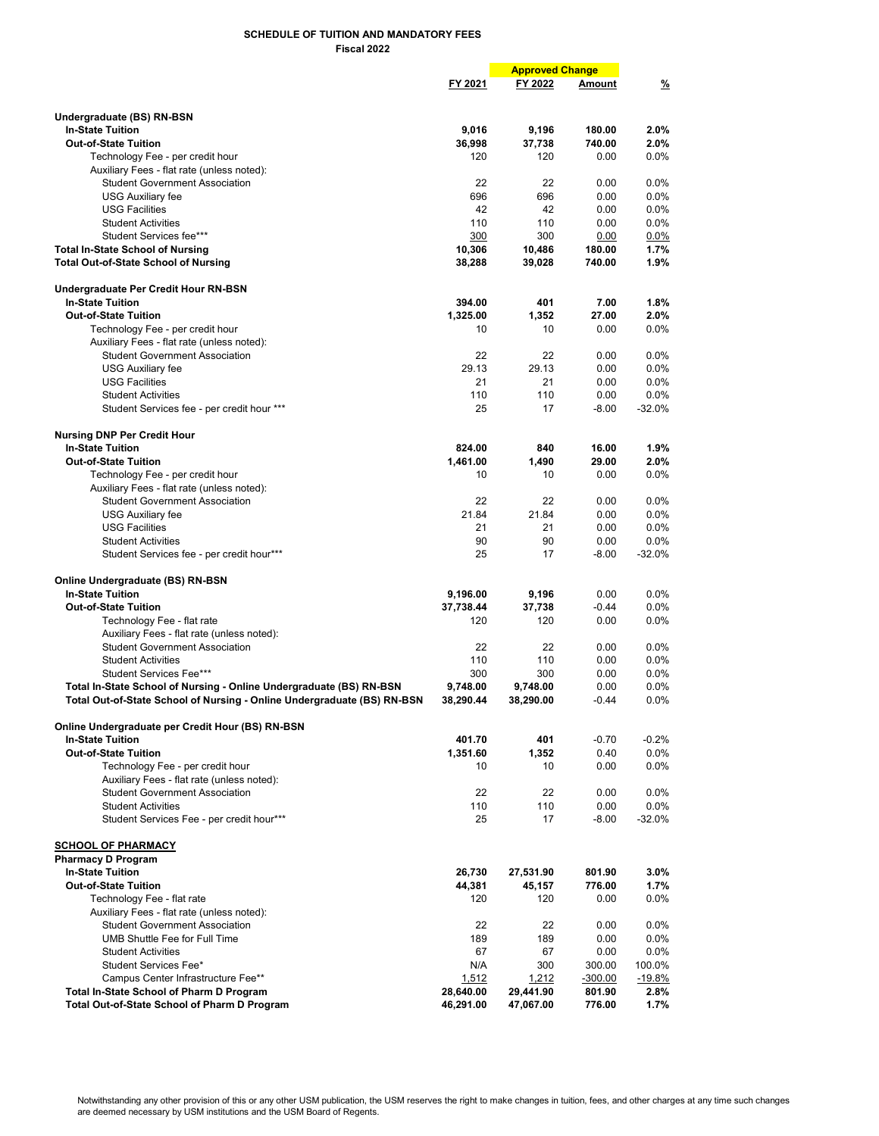FY 2021 FY 2022 Amount % **Approved Change** Undergraduate (BS) RN-BSN In-State Tuition 9,016 9,196 180.00 2.0% Out-of-State Tuition 36,998 37,738 740.00 2.0%<br>120 120 0.00 0.0% 76chnology Fee - per credit hour Technology Fee - per credit hour Auxiliary Fees - flat rate (unless noted): Student Government Association 22 22 0.00 0.0% USG Auxiliary fee 696 696 0.00 0.0% USG Facilities 42 42 0.00 0.0% Student Activities 110 110 0.00 0.0% Student Services fee\*\*\* Total In-State School of Nursing 10,306 10,486 180.00 1.7% Total Out-of-State School of Nursing 38,288 39,028 740.00 1.9% Undergraduate Per Credit Hour RN-BSN In-State Tuition 394.00 401 7.00 1.8% Out-of-State Tuition 1,325.00  $\overline{1,325.00}$  1,325.00  $\overline{27.00}$  2.0% 1,352 27.00 2.0% 16chnology Fee - per credit hour Technology Fee - per credit hour Auxiliary Fees - flat rate (unless noted): Student Government Association 22 22 0.00 0.0% USG Auxiliary fee USG Facilities 21 21 0.00 0.0% Student Activities **110** 110 0.00 0.0% Student Services fee - per credit hour \*\*\* 25 17 -8.00 -32.0% Nursing DNP Per Credit Hour In-State Tuition 824.00 840 16.00 1.9% Out-of-State Tuition 1,461.00 1,461.00 1,490 29.00 2.0%<br>Technology Fee - per credit hour 10 10 0.00 0.0% Technology Fee - per credit hour 10 10 0.00 0.0% Auxiliary Fees - flat rate (unless noted): Student Government Association 22 22 0.00 0.0% USG Auxiliary fee 21.84 21.84 0.00 0.0% USG Facilities 21 21 0.00 0.0% Student Activities 90 90 0.00 0.0% Student Services fee - per credit hour\*\*\* 17 17 -8.00 -32.0% Online Undergraduate (BS) RN-BSN In-State Tuition 9,196.00 9,196 0.00 0.0% **Out-of-State Tuition** Technology Fee - flat rate 120 120 0.00 0.00 0.0% Auxiliary Fees - flat rate (unless noted): Student Government Association 22 22 0.00 0.0% Student Activities **110** 110 0.00 0.0% Student Services Fee\*\*\* **300 Student Services Fee\*\*\*** 200 alom<br>State School of Nursing - Online Undergraduate (BS) RN-BSN 3748.00 3.748.00 3.748.00 0.00 0.0% Total In-State School of Nursing - Online Undergraduate (BS) RN-BSN 9,748.00 9,748.00 0.00 0.0%<br>Total Out-of-State School of Nursing - Online Undergraduate (BS) RN-BSN 38,290.44 38,290.00 -0.44 0.0% Total Out-of-State School of Nursing - Online Undergraduate (BS) RN-BSN Online Undergraduate per Credit Hour (BS) RN-BSN In-State Tuition 401.70 401 -0.70 -0.2% Out-of-State Tuition 1,351.60 1,352 0.40 0.0%<br>Technology Fee - per credit hour 10 10 0.00 0.0% Technology Fee - per credit hour 10 10 0.00 0.0% Auxiliary Fees - flat rate (unless noted): Student Government Association 22 22 0.00 0.0% Student Activities 110 to 110 to 110 to 110 to 110 to 110 to 10.00 0.0%<br>Student Services Fee - per credit hour\*\*\* 1 to 12.0% 17 -8.00 -32.0% Student Services Fee - per credit hour\*\*\* 25 17 SCHOOL OF PHARMACY Pharmacy D Program In-State Tuition 26,730 27,531.90 801.90 3.0% Out-of-State Tuition 1.7% **Out-of-State Tuition** 1.7% **1.7% 1.881** 45,157 776.00 1.7% **1.881** 45,157 1.7% 120 1.881 1.881 1.881 1.882 1.881 1.882 1.881 1.882 1.881 1.882 1.882 1.882 1.882 1.882 1.882 1.882 1.882 1.882 1.88 Technology Fee - flat rate 120 120 Auxiliary Fees - flat rate (unless noted): Student Government Association 22 22 0.00 0.0% UMB Shuttle Fee for Full Time 189 189 189 0.00 0.0%<br>
Student Activities 189 0.00 0.0% Student Activities 67 Student Services Fee\* Natural Control of the Services Fee\* Natural Control of NA 300 300.00 100.0%<br>Campus Center Infrastructure Fee\*\* Natural Control of the 1.512 1.212 -300.00 -19.8% Campus Center Infrastructure Fee\*\* 1,512 1,212 -300.00 -19.8%<br>-State School of Pharm D Program 1,512 28,640.00 29,441.90 2.8% Total In-State School of Pharm D Program Total Out-of-State School of Pharm D Program 46,291.00 47,067.00 776.00 1.7%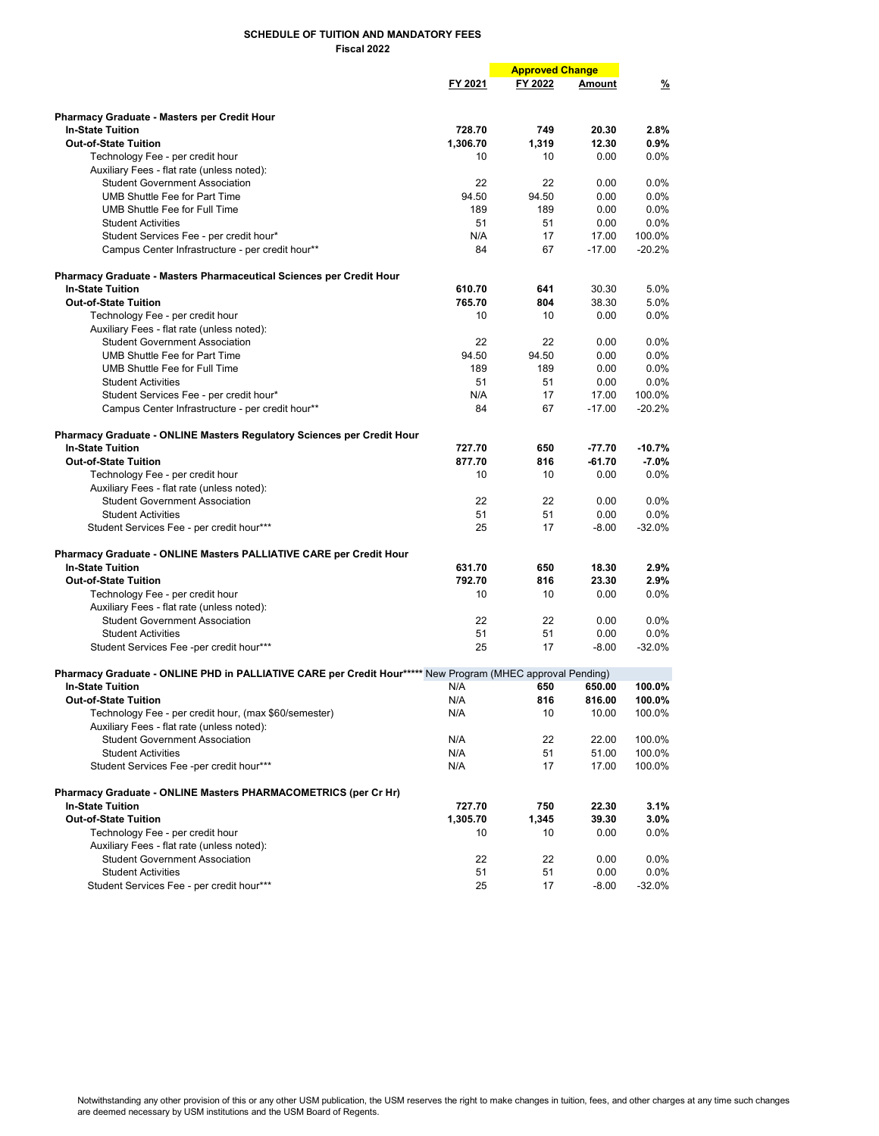| FY 2021<br>FY 2022<br>$\frac{9}{6}$<br>Amount<br><b>Pharmacy Graduate - Masters per Credit Hour</b><br>728.70<br>20.30<br><b>In-State Tuition</b><br>749<br>2.8%<br><b>Out-of-State Tuition</b><br>1,306.70<br>12.30<br>0.9%<br>1,319<br>0.0%<br>Technology Fee - per credit hour<br>10<br>10<br>0.00<br>Auxiliary Fees - flat rate (unless noted):<br><b>Student Government Association</b><br>22<br>22<br>0.00<br>$0.0\%$<br><b>UMB Shuttle Fee for Part Time</b><br>94.50<br>94.50<br>0.0%<br>0.00<br>UMB Shuttle Fee for Full Time<br>189<br>189<br>$0.0\%$<br>0.00<br>0.0%<br><b>Student Activities</b><br>51<br>51<br>0.00<br>N/A<br>17<br>17.00<br>100.0%<br>Student Services Fee - per credit hour*<br>84<br>67<br>$-17.00$<br>$-20.2%$<br>Campus Center Infrastructure - per credit hour**<br>Pharmacy Graduate - Masters Pharmaceutical Sciences per Credit Hour<br><b>In-State Tuition</b><br>610.70<br>5.0%<br>641<br>30.30<br>765.70<br>804<br>38.30<br>5.0%<br><b>Out-of-State Tuition</b><br>0.0%<br>Technology Fee - per credit hour<br>10<br>10<br>0.00<br>Auxiliary Fees - flat rate (unless noted):<br><b>Student Government Association</b><br>22<br>22<br>0.0%<br>0.00<br>UMB Shuttle Fee for Part Time<br>94.50<br>94.50<br>$0.0\%$<br>0.00<br>UMB Shuttle Fee for Full Time<br>189<br>189<br>0.00<br>$0.0\%$<br>51<br>0.0%<br><b>Student Activities</b><br>51<br>0.00<br>N/A<br>17<br>17.00<br>100.0%<br>Student Services Fee - per credit hour*<br>84<br>67<br>$-17.00$<br>$-20.2%$<br>Campus Center Infrastructure - per credit hour**<br>Pharmacy Graduate - ONLINE Masters Regulatory Sciences per Credit Hour<br><b>In-State Tuition</b><br>727.70<br>$-10.7%$<br>650<br>$-77.70$<br>877.70<br>816<br>$-61.70$<br>$-7.0%$<br><b>Out-of-State Tuition</b><br>0.00<br>0.0%<br>Technology Fee - per credit hour<br>10<br>10<br>Auxiliary Fees - flat rate (unless noted):<br><b>Student Government Association</b><br>22<br>22<br>0.00<br>$0.0\%$<br>51<br>51<br>0.00<br>$0.0\%$<br><b>Student Activities</b><br>25<br>$-8.00$<br>$-32.0%$<br>Student Services Fee - per credit hour***<br>17<br>Pharmacy Graduate - ONLINE Masters PALLIATIVE CARE per Credit Hour<br><b>In-State Tuition</b><br>631.70<br>650<br>18.30<br>2.9%<br>792.70<br>816<br>23.30<br>2.9%<br><b>Out-of-State Tuition</b><br>0.0%<br>Technology Fee - per credit hour<br>10<br>10<br>0.00<br>Auxiliary Fees - flat rate (unless noted):<br><b>Student Government Association</b><br>22<br>22<br>0.00<br>$0.0\%$<br>51<br>51<br>0.0%<br><b>Student Activities</b><br>0.00<br>25<br>17<br>$-8.00$<br>$-32.0%$<br>Student Services Fee -per credit hour***<br>Pharmacy Graduate - ONLINE PHD in PALLIATIVE CARE per Credit Hour***** New Program (MHEC approval Pending)<br><b>In-State Tuition</b><br>100.0%<br>N/A<br>650<br>650.00<br><b>Out-of-State Tuition</b><br>N/A<br>816<br>816.00<br>100.0%<br>10.00<br>100.0%<br>Technology Fee - per credit hour, (max \$60/semester)<br>N/A<br>10<br>Auxiliary Fees - flat rate (unless noted):<br><b>Student Government Association</b><br>N/A<br>22<br>22.00<br>100.0%<br><b>Student Activities</b><br>N/A<br>51<br>51.00<br>100.0%<br>Student Services Fee -per credit hour***<br>N/A<br>17<br>17.00<br>100.0%<br>Pharmacy Graduate - ONLINE Masters PHARMACOMETRICS (per Cr Hr)<br><b>In-State Tuition</b><br>727.70<br>22.30<br>3.1%<br>750<br><b>Out-of-State Tuition</b><br>1,305.70<br>39.30<br>3.0%<br>1,345<br>$0.0\%$<br>Technology Fee - per credit hour<br>10<br>10<br>0.00<br>Auxiliary Fees - flat rate (unless noted):<br><b>Student Government Association</b><br>22<br>22<br>0.00<br>$0.0\%$<br><b>Student Activities</b><br>51<br>0.00<br>$0.0\%$<br>51 |  | <b>Approved Change</b> |  |  |
|------------------------------------------------------------------------------------------------------------------------------------------------------------------------------------------------------------------------------------------------------------------------------------------------------------------------------------------------------------------------------------------------------------------------------------------------------------------------------------------------------------------------------------------------------------------------------------------------------------------------------------------------------------------------------------------------------------------------------------------------------------------------------------------------------------------------------------------------------------------------------------------------------------------------------------------------------------------------------------------------------------------------------------------------------------------------------------------------------------------------------------------------------------------------------------------------------------------------------------------------------------------------------------------------------------------------------------------------------------------------------------------------------------------------------------------------------------------------------------------------------------------------------------------------------------------------------------------------------------------------------------------------------------------------------------------------------------------------------------------------------------------------------------------------------------------------------------------------------------------------------------------------------------------------------------------------------------------------------------------------------------------------------------------------------------------------------------------------------------------------------------------------------------------------------------------------------------------------------------------------------------------------------------------------------------------------------------------------------------------------------------------------------------------------------------------------------------------------------------------------------------------------------------------------------------------------------------------------------------------------------------------------------------------------------------------------------------------------------------------------------------------------------------------------------------------------------------------------------------------------------------------------------------------------------------------------------------------------------------------------------------------------------------------------------------------------------------------------------------------------------------------------------------------------------------------------------------------------------------------------------------------------------------------------------------------------------------------------------------------------------------------------------------------------------------------------------------------------------------------------------------------------------------------------------------------------------------------------------------------------------------------------------------------------------------------------------------------------|--|------------------------|--|--|
|                                                                                                                                                                                                                                                                                                                                                                                                                                                                                                                                                                                                                                                                                                                                                                                                                                                                                                                                                                                                                                                                                                                                                                                                                                                                                                                                                                                                                                                                                                                                                                                                                                                                                                                                                                                                                                                                                                                                                                                                                                                                                                                                                                                                                                                                                                                                                                                                                                                                                                                                                                                                                                                                                                                                                                                                                                                                                                                                                                                                                                                                                                                                                                                                                                                                                                                                                                                                                                                                                                                                                                                                                                                                                                                        |  |                        |  |  |
|                                                                                                                                                                                                                                                                                                                                                                                                                                                                                                                                                                                                                                                                                                                                                                                                                                                                                                                                                                                                                                                                                                                                                                                                                                                                                                                                                                                                                                                                                                                                                                                                                                                                                                                                                                                                                                                                                                                                                                                                                                                                                                                                                                                                                                                                                                                                                                                                                                                                                                                                                                                                                                                                                                                                                                                                                                                                                                                                                                                                                                                                                                                                                                                                                                                                                                                                                                                                                                                                                                                                                                                                                                                                                                                        |  |                        |  |  |
|                                                                                                                                                                                                                                                                                                                                                                                                                                                                                                                                                                                                                                                                                                                                                                                                                                                                                                                                                                                                                                                                                                                                                                                                                                                                                                                                                                                                                                                                                                                                                                                                                                                                                                                                                                                                                                                                                                                                                                                                                                                                                                                                                                                                                                                                                                                                                                                                                                                                                                                                                                                                                                                                                                                                                                                                                                                                                                                                                                                                                                                                                                                                                                                                                                                                                                                                                                                                                                                                                                                                                                                                                                                                                                                        |  |                        |  |  |
|                                                                                                                                                                                                                                                                                                                                                                                                                                                                                                                                                                                                                                                                                                                                                                                                                                                                                                                                                                                                                                                                                                                                                                                                                                                                                                                                                                                                                                                                                                                                                                                                                                                                                                                                                                                                                                                                                                                                                                                                                                                                                                                                                                                                                                                                                                                                                                                                                                                                                                                                                                                                                                                                                                                                                                                                                                                                                                                                                                                                                                                                                                                                                                                                                                                                                                                                                                                                                                                                                                                                                                                                                                                                                                                        |  |                        |  |  |
|                                                                                                                                                                                                                                                                                                                                                                                                                                                                                                                                                                                                                                                                                                                                                                                                                                                                                                                                                                                                                                                                                                                                                                                                                                                                                                                                                                                                                                                                                                                                                                                                                                                                                                                                                                                                                                                                                                                                                                                                                                                                                                                                                                                                                                                                                                                                                                                                                                                                                                                                                                                                                                                                                                                                                                                                                                                                                                                                                                                                                                                                                                                                                                                                                                                                                                                                                                                                                                                                                                                                                                                                                                                                                                                        |  |                        |  |  |
|                                                                                                                                                                                                                                                                                                                                                                                                                                                                                                                                                                                                                                                                                                                                                                                                                                                                                                                                                                                                                                                                                                                                                                                                                                                                                                                                                                                                                                                                                                                                                                                                                                                                                                                                                                                                                                                                                                                                                                                                                                                                                                                                                                                                                                                                                                                                                                                                                                                                                                                                                                                                                                                                                                                                                                                                                                                                                                                                                                                                                                                                                                                                                                                                                                                                                                                                                                                                                                                                                                                                                                                                                                                                                                                        |  |                        |  |  |
|                                                                                                                                                                                                                                                                                                                                                                                                                                                                                                                                                                                                                                                                                                                                                                                                                                                                                                                                                                                                                                                                                                                                                                                                                                                                                                                                                                                                                                                                                                                                                                                                                                                                                                                                                                                                                                                                                                                                                                                                                                                                                                                                                                                                                                                                                                                                                                                                                                                                                                                                                                                                                                                                                                                                                                                                                                                                                                                                                                                                                                                                                                                                                                                                                                                                                                                                                                                                                                                                                                                                                                                                                                                                                                                        |  |                        |  |  |
|                                                                                                                                                                                                                                                                                                                                                                                                                                                                                                                                                                                                                                                                                                                                                                                                                                                                                                                                                                                                                                                                                                                                                                                                                                                                                                                                                                                                                                                                                                                                                                                                                                                                                                                                                                                                                                                                                                                                                                                                                                                                                                                                                                                                                                                                                                                                                                                                                                                                                                                                                                                                                                                                                                                                                                                                                                                                                                                                                                                                                                                                                                                                                                                                                                                                                                                                                                                                                                                                                                                                                                                                                                                                                                                        |  |                        |  |  |
|                                                                                                                                                                                                                                                                                                                                                                                                                                                                                                                                                                                                                                                                                                                                                                                                                                                                                                                                                                                                                                                                                                                                                                                                                                                                                                                                                                                                                                                                                                                                                                                                                                                                                                                                                                                                                                                                                                                                                                                                                                                                                                                                                                                                                                                                                                                                                                                                                                                                                                                                                                                                                                                                                                                                                                                                                                                                                                                                                                                                                                                                                                                                                                                                                                                                                                                                                                                                                                                                                                                                                                                                                                                                                                                        |  |                        |  |  |
|                                                                                                                                                                                                                                                                                                                                                                                                                                                                                                                                                                                                                                                                                                                                                                                                                                                                                                                                                                                                                                                                                                                                                                                                                                                                                                                                                                                                                                                                                                                                                                                                                                                                                                                                                                                                                                                                                                                                                                                                                                                                                                                                                                                                                                                                                                                                                                                                                                                                                                                                                                                                                                                                                                                                                                                                                                                                                                                                                                                                                                                                                                                                                                                                                                                                                                                                                                                                                                                                                                                                                                                                                                                                                                                        |  |                        |  |  |
|                                                                                                                                                                                                                                                                                                                                                                                                                                                                                                                                                                                                                                                                                                                                                                                                                                                                                                                                                                                                                                                                                                                                                                                                                                                                                                                                                                                                                                                                                                                                                                                                                                                                                                                                                                                                                                                                                                                                                                                                                                                                                                                                                                                                                                                                                                                                                                                                                                                                                                                                                                                                                                                                                                                                                                                                                                                                                                                                                                                                                                                                                                                                                                                                                                                                                                                                                                                                                                                                                                                                                                                                                                                                                                                        |  |                        |  |  |
|                                                                                                                                                                                                                                                                                                                                                                                                                                                                                                                                                                                                                                                                                                                                                                                                                                                                                                                                                                                                                                                                                                                                                                                                                                                                                                                                                                                                                                                                                                                                                                                                                                                                                                                                                                                                                                                                                                                                                                                                                                                                                                                                                                                                                                                                                                                                                                                                                                                                                                                                                                                                                                                                                                                                                                                                                                                                                                                                                                                                                                                                                                                                                                                                                                                                                                                                                                                                                                                                                                                                                                                                                                                                                                                        |  |                        |  |  |
|                                                                                                                                                                                                                                                                                                                                                                                                                                                                                                                                                                                                                                                                                                                                                                                                                                                                                                                                                                                                                                                                                                                                                                                                                                                                                                                                                                                                                                                                                                                                                                                                                                                                                                                                                                                                                                                                                                                                                                                                                                                                                                                                                                                                                                                                                                                                                                                                                                                                                                                                                                                                                                                                                                                                                                                                                                                                                                                                                                                                                                                                                                                                                                                                                                                                                                                                                                                                                                                                                                                                                                                                                                                                                                                        |  |                        |  |  |
|                                                                                                                                                                                                                                                                                                                                                                                                                                                                                                                                                                                                                                                                                                                                                                                                                                                                                                                                                                                                                                                                                                                                                                                                                                                                                                                                                                                                                                                                                                                                                                                                                                                                                                                                                                                                                                                                                                                                                                                                                                                                                                                                                                                                                                                                                                                                                                                                                                                                                                                                                                                                                                                                                                                                                                                                                                                                                                                                                                                                                                                                                                                                                                                                                                                                                                                                                                                                                                                                                                                                                                                                                                                                                                                        |  |                        |  |  |
|                                                                                                                                                                                                                                                                                                                                                                                                                                                                                                                                                                                                                                                                                                                                                                                                                                                                                                                                                                                                                                                                                                                                                                                                                                                                                                                                                                                                                                                                                                                                                                                                                                                                                                                                                                                                                                                                                                                                                                                                                                                                                                                                                                                                                                                                                                                                                                                                                                                                                                                                                                                                                                                                                                                                                                                                                                                                                                                                                                                                                                                                                                                                                                                                                                                                                                                                                                                                                                                                                                                                                                                                                                                                                                                        |  |                        |  |  |
|                                                                                                                                                                                                                                                                                                                                                                                                                                                                                                                                                                                                                                                                                                                                                                                                                                                                                                                                                                                                                                                                                                                                                                                                                                                                                                                                                                                                                                                                                                                                                                                                                                                                                                                                                                                                                                                                                                                                                                                                                                                                                                                                                                                                                                                                                                                                                                                                                                                                                                                                                                                                                                                                                                                                                                                                                                                                                                                                                                                                                                                                                                                                                                                                                                                                                                                                                                                                                                                                                                                                                                                                                                                                                                                        |  |                        |  |  |
|                                                                                                                                                                                                                                                                                                                                                                                                                                                                                                                                                                                                                                                                                                                                                                                                                                                                                                                                                                                                                                                                                                                                                                                                                                                                                                                                                                                                                                                                                                                                                                                                                                                                                                                                                                                                                                                                                                                                                                                                                                                                                                                                                                                                                                                                                                                                                                                                                                                                                                                                                                                                                                                                                                                                                                                                                                                                                                                                                                                                                                                                                                                                                                                                                                                                                                                                                                                                                                                                                                                                                                                                                                                                                                                        |  |                        |  |  |
|                                                                                                                                                                                                                                                                                                                                                                                                                                                                                                                                                                                                                                                                                                                                                                                                                                                                                                                                                                                                                                                                                                                                                                                                                                                                                                                                                                                                                                                                                                                                                                                                                                                                                                                                                                                                                                                                                                                                                                                                                                                                                                                                                                                                                                                                                                                                                                                                                                                                                                                                                                                                                                                                                                                                                                                                                                                                                                                                                                                                                                                                                                                                                                                                                                                                                                                                                                                                                                                                                                                                                                                                                                                                                                                        |  |                        |  |  |
|                                                                                                                                                                                                                                                                                                                                                                                                                                                                                                                                                                                                                                                                                                                                                                                                                                                                                                                                                                                                                                                                                                                                                                                                                                                                                                                                                                                                                                                                                                                                                                                                                                                                                                                                                                                                                                                                                                                                                                                                                                                                                                                                                                                                                                                                                                                                                                                                                                                                                                                                                                                                                                                                                                                                                                                                                                                                                                                                                                                                                                                                                                                                                                                                                                                                                                                                                                                                                                                                                                                                                                                                                                                                                                                        |  |                        |  |  |
|                                                                                                                                                                                                                                                                                                                                                                                                                                                                                                                                                                                                                                                                                                                                                                                                                                                                                                                                                                                                                                                                                                                                                                                                                                                                                                                                                                                                                                                                                                                                                                                                                                                                                                                                                                                                                                                                                                                                                                                                                                                                                                                                                                                                                                                                                                                                                                                                                                                                                                                                                                                                                                                                                                                                                                                                                                                                                                                                                                                                                                                                                                                                                                                                                                                                                                                                                                                                                                                                                                                                                                                                                                                                                                                        |  |                        |  |  |
|                                                                                                                                                                                                                                                                                                                                                                                                                                                                                                                                                                                                                                                                                                                                                                                                                                                                                                                                                                                                                                                                                                                                                                                                                                                                                                                                                                                                                                                                                                                                                                                                                                                                                                                                                                                                                                                                                                                                                                                                                                                                                                                                                                                                                                                                                                                                                                                                                                                                                                                                                                                                                                                                                                                                                                                                                                                                                                                                                                                                                                                                                                                                                                                                                                                                                                                                                                                                                                                                                                                                                                                                                                                                                                                        |  |                        |  |  |
|                                                                                                                                                                                                                                                                                                                                                                                                                                                                                                                                                                                                                                                                                                                                                                                                                                                                                                                                                                                                                                                                                                                                                                                                                                                                                                                                                                                                                                                                                                                                                                                                                                                                                                                                                                                                                                                                                                                                                                                                                                                                                                                                                                                                                                                                                                                                                                                                                                                                                                                                                                                                                                                                                                                                                                                                                                                                                                                                                                                                                                                                                                                                                                                                                                                                                                                                                                                                                                                                                                                                                                                                                                                                                                                        |  |                        |  |  |
|                                                                                                                                                                                                                                                                                                                                                                                                                                                                                                                                                                                                                                                                                                                                                                                                                                                                                                                                                                                                                                                                                                                                                                                                                                                                                                                                                                                                                                                                                                                                                                                                                                                                                                                                                                                                                                                                                                                                                                                                                                                                                                                                                                                                                                                                                                                                                                                                                                                                                                                                                                                                                                                                                                                                                                                                                                                                                                                                                                                                                                                                                                                                                                                                                                                                                                                                                                                                                                                                                                                                                                                                                                                                                                                        |  |                        |  |  |
|                                                                                                                                                                                                                                                                                                                                                                                                                                                                                                                                                                                                                                                                                                                                                                                                                                                                                                                                                                                                                                                                                                                                                                                                                                                                                                                                                                                                                                                                                                                                                                                                                                                                                                                                                                                                                                                                                                                                                                                                                                                                                                                                                                                                                                                                                                                                                                                                                                                                                                                                                                                                                                                                                                                                                                                                                                                                                                                                                                                                                                                                                                                                                                                                                                                                                                                                                                                                                                                                                                                                                                                                                                                                                                                        |  |                        |  |  |
|                                                                                                                                                                                                                                                                                                                                                                                                                                                                                                                                                                                                                                                                                                                                                                                                                                                                                                                                                                                                                                                                                                                                                                                                                                                                                                                                                                                                                                                                                                                                                                                                                                                                                                                                                                                                                                                                                                                                                                                                                                                                                                                                                                                                                                                                                                                                                                                                                                                                                                                                                                                                                                                                                                                                                                                                                                                                                                                                                                                                                                                                                                                                                                                                                                                                                                                                                                                                                                                                                                                                                                                                                                                                                                                        |  |                        |  |  |
|                                                                                                                                                                                                                                                                                                                                                                                                                                                                                                                                                                                                                                                                                                                                                                                                                                                                                                                                                                                                                                                                                                                                                                                                                                                                                                                                                                                                                                                                                                                                                                                                                                                                                                                                                                                                                                                                                                                                                                                                                                                                                                                                                                                                                                                                                                                                                                                                                                                                                                                                                                                                                                                                                                                                                                                                                                                                                                                                                                                                                                                                                                                                                                                                                                                                                                                                                                                                                                                                                                                                                                                                                                                                                                                        |  |                        |  |  |
|                                                                                                                                                                                                                                                                                                                                                                                                                                                                                                                                                                                                                                                                                                                                                                                                                                                                                                                                                                                                                                                                                                                                                                                                                                                                                                                                                                                                                                                                                                                                                                                                                                                                                                                                                                                                                                                                                                                                                                                                                                                                                                                                                                                                                                                                                                                                                                                                                                                                                                                                                                                                                                                                                                                                                                                                                                                                                                                                                                                                                                                                                                                                                                                                                                                                                                                                                                                                                                                                                                                                                                                                                                                                                                                        |  |                        |  |  |
|                                                                                                                                                                                                                                                                                                                                                                                                                                                                                                                                                                                                                                                                                                                                                                                                                                                                                                                                                                                                                                                                                                                                                                                                                                                                                                                                                                                                                                                                                                                                                                                                                                                                                                                                                                                                                                                                                                                                                                                                                                                                                                                                                                                                                                                                                                                                                                                                                                                                                                                                                                                                                                                                                                                                                                                                                                                                                                                                                                                                                                                                                                                                                                                                                                                                                                                                                                                                                                                                                                                                                                                                                                                                                                                        |  |                        |  |  |
|                                                                                                                                                                                                                                                                                                                                                                                                                                                                                                                                                                                                                                                                                                                                                                                                                                                                                                                                                                                                                                                                                                                                                                                                                                                                                                                                                                                                                                                                                                                                                                                                                                                                                                                                                                                                                                                                                                                                                                                                                                                                                                                                                                                                                                                                                                                                                                                                                                                                                                                                                                                                                                                                                                                                                                                                                                                                                                                                                                                                                                                                                                                                                                                                                                                                                                                                                                                                                                                                                                                                                                                                                                                                                                                        |  |                        |  |  |
|                                                                                                                                                                                                                                                                                                                                                                                                                                                                                                                                                                                                                                                                                                                                                                                                                                                                                                                                                                                                                                                                                                                                                                                                                                                                                                                                                                                                                                                                                                                                                                                                                                                                                                                                                                                                                                                                                                                                                                                                                                                                                                                                                                                                                                                                                                                                                                                                                                                                                                                                                                                                                                                                                                                                                                                                                                                                                                                                                                                                                                                                                                                                                                                                                                                                                                                                                                                                                                                                                                                                                                                                                                                                                                                        |  |                        |  |  |
|                                                                                                                                                                                                                                                                                                                                                                                                                                                                                                                                                                                                                                                                                                                                                                                                                                                                                                                                                                                                                                                                                                                                                                                                                                                                                                                                                                                                                                                                                                                                                                                                                                                                                                                                                                                                                                                                                                                                                                                                                                                                                                                                                                                                                                                                                                                                                                                                                                                                                                                                                                                                                                                                                                                                                                                                                                                                                                                                                                                                                                                                                                                                                                                                                                                                                                                                                                                                                                                                                                                                                                                                                                                                                                                        |  |                        |  |  |
|                                                                                                                                                                                                                                                                                                                                                                                                                                                                                                                                                                                                                                                                                                                                                                                                                                                                                                                                                                                                                                                                                                                                                                                                                                                                                                                                                                                                                                                                                                                                                                                                                                                                                                                                                                                                                                                                                                                                                                                                                                                                                                                                                                                                                                                                                                                                                                                                                                                                                                                                                                                                                                                                                                                                                                                                                                                                                                                                                                                                                                                                                                                                                                                                                                                                                                                                                                                                                                                                                                                                                                                                                                                                                                                        |  |                        |  |  |
|                                                                                                                                                                                                                                                                                                                                                                                                                                                                                                                                                                                                                                                                                                                                                                                                                                                                                                                                                                                                                                                                                                                                                                                                                                                                                                                                                                                                                                                                                                                                                                                                                                                                                                                                                                                                                                                                                                                                                                                                                                                                                                                                                                                                                                                                                                                                                                                                                                                                                                                                                                                                                                                                                                                                                                                                                                                                                                                                                                                                                                                                                                                                                                                                                                                                                                                                                                                                                                                                                                                                                                                                                                                                                                                        |  |                        |  |  |
|                                                                                                                                                                                                                                                                                                                                                                                                                                                                                                                                                                                                                                                                                                                                                                                                                                                                                                                                                                                                                                                                                                                                                                                                                                                                                                                                                                                                                                                                                                                                                                                                                                                                                                                                                                                                                                                                                                                                                                                                                                                                                                                                                                                                                                                                                                                                                                                                                                                                                                                                                                                                                                                                                                                                                                                                                                                                                                                                                                                                                                                                                                                                                                                                                                                                                                                                                                                                                                                                                                                                                                                                                                                                                                                        |  |                        |  |  |
|                                                                                                                                                                                                                                                                                                                                                                                                                                                                                                                                                                                                                                                                                                                                                                                                                                                                                                                                                                                                                                                                                                                                                                                                                                                                                                                                                                                                                                                                                                                                                                                                                                                                                                                                                                                                                                                                                                                                                                                                                                                                                                                                                                                                                                                                                                                                                                                                                                                                                                                                                                                                                                                                                                                                                                                                                                                                                                                                                                                                                                                                                                                                                                                                                                                                                                                                                                                                                                                                                                                                                                                                                                                                                                                        |  |                        |  |  |
|                                                                                                                                                                                                                                                                                                                                                                                                                                                                                                                                                                                                                                                                                                                                                                                                                                                                                                                                                                                                                                                                                                                                                                                                                                                                                                                                                                                                                                                                                                                                                                                                                                                                                                                                                                                                                                                                                                                                                                                                                                                                                                                                                                                                                                                                                                                                                                                                                                                                                                                                                                                                                                                                                                                                                                                                                                                                                                                                                                                                                                                                                                                                                                                                                                                                                                                                                                                                                                                                                                                                                                                                                                                                                                                        |  |                        |  |  |
|                                                                                                                                                                                                                                                                                                                                                                                                                                                                                                                                                                                                                                                                                                                                                                                                                                                                                                                                                                                                                                                                                                                                                                                                                                                                                                                                                                                                                                                                                                                                                                                                                                                                                                                                                                                                                                                                                                                                                                                                                                                                                                                                                                                                                                                                                                                                                                                                                                                                                                                                                                                                                                                                                                                                                                                                                                                                                                                                                                                                                                                                                                                                                                                                                                                                                                                                                                                                                                                                                                                                                                                                                                                                                                                        |  |                        |  |  |
|                                                                                                                                                                                                                                                                                                                                                                                                                                                                                                                                                                                                                                                                                                                                                                                                                                                                                                                                                                                                                                                                                                                                                                                                                                                                                                                                                                                                                                                                                                                                                                                                                                                                                                                                                                                                                                                                                                                                                                                                                                                                                                                                                                                                                                                                                                                                                                                                                                                                                                                                                                                                                                                                                                                                                                                                                                                                                                                                                                                                                                                                                                                                                                                                                                                                                                                                                                                                                                                                                                                                                                                                                                                                                                                        |  |                        |  |  |
|                                                                                                                                                                                                                                                                                                                                                                                                                                                                                                                                                                                                                                                                                                                                                                                                                                                                                                                                                                                                                                                                                                                                                                                                                                                                                                                                                                                                                                                                                                                                                                                                                                                                                                                                                                                                                                                                                                                                                                                                                                                                                                                                                                                                                                                                                                                                                                                                                                                                                                                                                                                                                                                                                                                                                                                                                                                                                                                                                                                                                                                                                                                                                                                                                                                                                                                                                                                                                                                                                                                                                                                                                                                                                                                        |  |                        |  |  |
|                                                                                                                                                                                                                                                                                                                                                                                                                                                                                                                                                                                                                                                                                                                                                                                                                                                                                                                                                                                                                                                                                                                                                                                                                                                                                                                                                                                                                                                                                                                                                                                                                                                                                                                                                                                                                                                                                                                                                                                                                                                                                                                                                                                                                                                                                                                                                                                                                                                                                                                                                                                                                                                                                                                                                                                                                                                                                                                                                                                                                                                                                                                                                                                                                                                                                                                                                                                                                                                                                                                                                                                                                                                                                                                        |  |                        |  |  |
|                                                                                                                                                                                                                                                                                                                                                                                                                                                                                                                                                                                                                                                                                                                                                                                                                                                                                                                                                                                                                                                                                                                                                                                                                                                                                                                                                                                                                                                                                                                                                                                                                                                                                                                                                                                                                                                                                                                                                                                                                                                                                                                                                                                                                                                                                                                                                                                                                                                                                                                                                                                                                                                                                                                                                                                                                                                                                                                                                                                                                                                                                                                                                                                                                                                                                                                                                                                                                                                                                                                                                                                                                                                                                                                        |  |                        |  |  |
|                                                                                                                                                                                                                                                                                                                                                                                                                                                                                                                                                                                                                                                                                                                                                                                                                                                                                                                                                                                                                                                                                                                                                                                                                                                                                                                                                                                                                                                                                                                                                                                                                                                                                                                                                                                                                                                                                                                                                                                                                                                                                                                                                                                                                                                                                                                                                                                                                                                                                                                                                                                                                                                                                                                                                                                                                                                                                                                                                                                                                                                                                                                                                                                                                                                                                                                                                                                                                                                                                                                                                                                                                                                                                                                        |  |                        |  |  |
|                                                                                                                                                                                                                                                                                                                                                                                                                                                                                                                                                                                                                                                                                                                                                                                                                                                                                                                                                                                                                                                                                                                                                                                                                                                                                                                                                                                                                                                                                                                                                                                                                                                                                                                                                                                                                                                                                                                                                                                                                                                                                                                                                                                                                                                                                                                                                                                                                                                                                                                                                                                                                                                                                                                                                                                                                                                                                                                                                                                                                                                                                                                                                                                                                                                                                                                                                                                                                                                                                                                                                                                                                                                                                                                        |  |                        |  |  |
|                                                                                                                                                                                                                                                                                                                                                                                                                                                                                                                                                                                                                                                                                                                                                                                                                                                                                                                                                                                                                                                                                                                                                                                                                                                                                                                                                                                                                                                                                                                                                                                                                                                                                                                                                                                                                                                                                                                                                                                                                                                                                                                                                                                                                                                                                                                                                                                                                                                                                                                                                                                                                                                                                                                                                                                                                                                                                                                                                                                                                                                                                                                                                                                                                                                                                                                                                                                                                                                                                                                                                                                                                                                                                                                        |  |                        |  |  |
|                                                                                                                                                                                                                                                                                                                                                                                                                                                                                                                                                                                                                                                                                                                                                                                                                                                                                                                                                                                                                                                                                                                                                                                                                                                                                                                                                                                                                                                                                                                                                                                                                                                                                                                                                                                                                                                                                                                                                                                                                                                                                                                                                                                                                                                                                                                                                                                                                                                                                                                                                                                                                                                                                                                                                                                                                                                                                                                                                                                                                                                                                                                                                                                                                                                                                                                                                                                                                                                                                                                                                                                                                                                                                                                        |  |                        |  |  |
|                                                                                                                                                                                                                                                                                                                                                                                                                                                                                                                                                                                                                                                                                                                                                                                                                                                                                                                                                                                                                                                                                                                                                                                                                                                                                                                                                                                                                                                                                                                                                                                                                                                                                                                                                                                                                                                                                                                                                                                                                                                                                                                                                                                                                                                                                                                                                                                                                                                                                                                                                                                                                                                                                                                                                                                                                                                                                                                                                                                                                                                                                                                                                                                                                                                                                                                                                                                                                                                                                                                                                                                                                                                                                                                        |  |                        |  |  |
|                                                                                                                                                                                                                                                                                                                                                                                                                                                                                                                                                                                                                                                                                                                                                                                                                                                                                                                                                                                                                                                                                                                                                                                                                                                                                                                                                                                                                                                                                                                                                                                                                                                                                                                                                                                                                                                                                                                                                                                                                                                                                                                                                                                                                                                                                                                                                                                                                                                                                                                                                                                                                                                                                                                                                                                                                                                                                                                                                                                                                                                                                                                                                                                                                                                                                                                                                                                                                                                                                                                                                                                                                                                                                                                        |  |                        |  |  |
|                                                                                                                                                                                                                                                                                                                                                                                                                                                                                                                                                                                                                                                                                                                                                                                                                                                                                                                                                                                                                                                                                                                                                                                                                                                                                                                                                                                                                                                                                                                                                                                                                                                                                                                                                                                                                                                                                                                                                                                                                                                                                                                                                                                                                                                                                                                                                                                                                                                                                                                                                                                                                                                                                                                                                                                                                                                                                                                                                                                                                                                                                                                                                                                                                                                                                                                                                                                                                                                                                                                                                                                                                                                                                                                        |  |                        |  |  |
|                                                                                                                                                                                                                                                                                                                                                                                                                                                                                                                                                                                                                                                                                                                                                                                                                                                                                                                                                                                                                                                                                                                                                                                                                                                                                                                                                                                                                                                                                                                                                                                                                                                                                                                                                                                                                                                                                                                                                                                                                                                                                                                                                                                                                                                                                                                                                                                                                                                                                                                                                                                                                                                                                                                                                                                                                                                                                                                                                                                                                                                                                                                                                                                                                                                                                                                                                                                                                                                                                                                                                                                                                                                                                                                        |  |                        |  |  |
|                                                                                                                                                                                                                                                                                                                                                                                                                                                                                                                                                                                                                                                                                                                                                                                                                                                                                                                                                                                                                                                                                                                                                                                                                                                                                                                                                                                                                                                                                                                                                                                                                                                                                                                                                                                                                                                                                                                                                                                                                                                                                                                                                                                                                                                                                                                                                                                                                                                                                                                                                                                                                                                                                                                                                                                                                                                                                                                                                                                                                                                                                                                                                                                                                                                                                                                                                                                                                                                                                                                                                                                                                                                                                                                        |  |                        |  |  |
|                                                                                                                                                                                                                                                                                                                                                                                                                                                                                                                                                                                                                                                                                                                                                                                                                                                                                                                                                                                                                                                                                                                                                                                                                                                                                                                                                                                                                                                                                                                                                                                                                                                                                                                                                                                                                                                                                                                                                                                                                                                                                                                                                                                                                                                                                                                                                                                                                                                                                                                                                                                                                                                                                                                                                                                                                                                                                                                                                                                                                                                                                                                                                                                                                                                                                                                                                                                                                                                                                                                                                                                                                                                                                                                        |  |                        |  |  |
|                                                                                                                                                                                                                                                                                                                                                                                                                                                                                                                                                                                                                                                                                                                                                                                                                                                                                                                                                                                                                                                                                                                                                                                                                                                                                                                                                                                                                                                                                                                                                                                                                                                                                                                                                                                                                                                                                                                                                                                                                                                                                                                                                                                                                                                                                                                                                                                                                                                                                                                                                                                                                                                                                                                                                                                                                                                                                                                                                                                                                                                                                                                                                                                                                                                                                                                                                                                                                                                                                                                                                                                                                                                                                                                        |  |                        |  |  |
|                                                                                                                                                                                                                                                                                                                                                                                                                                                                                                                                                                                                                                                                                                                                                                                                                                                                                                                                                                                                                                                                                                                                                                                                                                                                                                                                                                                                                                                                                                                                                                                                                                                                                                                                                                                                                                                                                                                                                                                                                                                                                                                                                                                                                                                                                                                                                                                                                                                                                                                                                                                                                                                                                                                                                                                                                                                                                                                                                                                                                                                                                                                                                                                                                                                                                                                                                                                                                                                                                                                                                                                                                                                                                                                        |  |                        |  |  |
|                                                                                                                                                                                                                                                                                                                                                                                                                                                                                                                                                                                                                                                                                                                                                                                                                                                                                                                                                                                                                                                                                                                                                                                                                                                                                                                                                                                                                                                                                                                                                                                                                                                                                                                                                                                                                                                                                                                                                                                                                                                                                                                                                                                                                                                                                                                                                                                                                                                                                                                                                                                                                                                                                                                                                                                                                                                                                                                                                                                                                                                                                                                                                                                                                                                                                                                                                                                                                                                                                                                                                                                                                                                                                                                        |  |                        |  |  |
|                                                                                                                                                                                                                                                                                                                                                                                                                                                                                                                                                                                                                                                                                                                                                                                                                                                                                                                                                                                                                                                                                                                                                                                                                                                                                                                                                                                                                                                                                                                                                                                                                                                                                                                                                                                                                                                                                                                                                                                                                                                                                                                                                                                                                                                                                                                                                                                                                                                                                                                                                                                                                                                                                                                                                                                                                                                                                                                                                                                                                                                                                                                                                                                                                                                                                                                                                                                                                                                                                                                                                                                                                                                                                                                        |  |                        |  |  |
| Student Services Fee - per credit hour***<br>25<br>$-32.0%$<br>17<br>-8.00                                                                                                                                                                                                                                                                                                                                                                                                                                                                                                                                                                                                                                                                                                                                                                                                                                                                                                                                                                                                                                                                                                                                                                                                                                                                                                                                                                                                                                                                                                                                                                                                                                                                                                                                                                                                                                                                                                                                                                                                                                                                                                                                                                                                                                                                                                                                                                                                                                                                                                                                                                                                                                                                                                                                                                                                                                                                                                                                                                                                                                                                                                                                                                                                                                                                                                                                                                                                                                                                                                                                                                                                                                             |  |                        |  |  |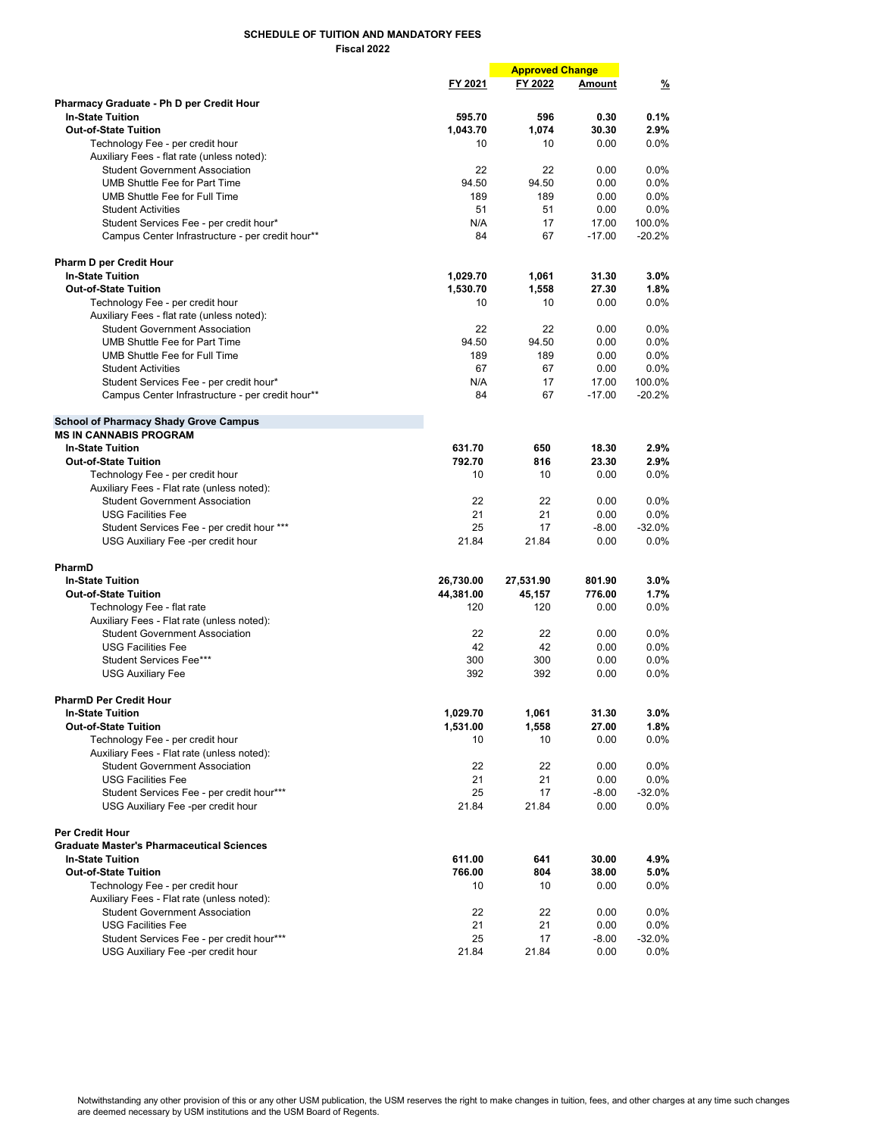|                                                                                     |           | <b>Approved Change</b> |               |               |
|-------------------------------------------------------------------------------------|-----------|------------------------|---------------|---------------|
|                                                                                     | FY 2021   | FY 2022                | <b>Amount</b> | $\frac{9}{6}$ |
|                                                                                     |           |                        |               |               |
| Pharmacy Graduate - Ph D per Credit Hour<br><b>In-State Tuition</b>                 | 595.70    | 596                    | 0.30          | 0.1%          |
| <b>Out-of-State Tuition</b>                                                         | 1,043.70  | 1,074                  | 30.30         | 2.9%          |
| Technology Fee - per credit hour                                                    | 10        | 10                     | 0.00          | 0.0%          |
|                                                                                     |           |                        |               |               |
| Auxiliary Fees - flat rate (unless noted):<br><b>Student Government Association</b> | 22        | 22                     | 0.00          | 0.0%          |
| <b>UMB Shuttle Fee for Part Time</b>                                                | 94.50     | 94.50                  |               | 0.0%          |
|                                                                                     |           |                        | 0.00          |               |
| UMB Shuttle Fee for Full Time                                                       | 189       | 189                    | 0.00          | 0.0%          |
| <b>Student Activities</b>                                                           | 51        | 51                     | 0.00          | $0.0\%$       |
| Student Services Fee - per credit hour*                                             | N/A       | 17                     | 17.00         | 100.0%        |
| Campus Center Infrastructure - per credit hour**                                    | 84        | 67                     | $-17.00$      | $-20.2%$      |
| <b>Pharm D per Credit Hour</b>                                                      |           |                        |               |               |
| <b>In-State Tuition</b>                                                             | 1,029.70  | 1,061                  | 31.30         | 3.0%          |
| <b>Out-of-State Tuition</b>                                                         | 1,530.70  | 1,558                  | 27.30         | 1.8%          |
| Technology Fee - per credit hour                                                    | 10        | 10                     | 0.00          | 0.0%          |
|                                                                                     |           |                        |               |               |
| Auxiliary Fees - flat rate (unless noted):                                          |           |                        |               |               |
| <b>Student Government Association</b>                                               | 22        | 22                     | 0.00          | $0.0\%$       |
| UMB Shuttle Fee for Part Time                                                       | 94.50     | 94.50                  | 0.00          | $0.0\%$       |
| UMB Shuttle Fee for Full Time                                                       | 189       | 189                    | 0.00          | $0.0\%$       |
| <b>Student Activities</b>                                                           | 67        | 67                     | 0.00          | 0.0%          |
| Student Services Fee - per credit hour*                                             | N/A       | 17                     | 17.00         | 100.0%        |
| Campus Center Infrastructure - per credit hour**                                    | 84        | 67                     | $-17.00$      | $-20.2%$      |
| <b>School of Pharmacy Shady Grove Campus</b>                                        |           |                        |               |               |
| <b>MS IN CANNABIS PROGRAM</b>                                                       |           |                        |               |               |
| <b>In-State Tuition</b>                                                             | 631.70    | 650                    | 18.30         | 2.9%          |
| <b>Out-of-State Tuition</b>                                                         | 792.70    | 816                    | 23.30         | 2.9%          |
| Technology Fee - per credit hour                                                    | 10        | 10                     | 0.00          | 0.0%          |
| Auxiliary Fees - Flat rate (unless noted):                                          |           |                        |               |               |
| <b>Student Government Association</b>                                               | 22        | 22                     | 0.00          | $0.0\%$       |
| <b>USG Facilities Fee</b>                                                           | 21        | 21                     | 0.00          | $0.0\%$       |
| Student Services Fee - per credit hour ***                                          | 25        | 17                     | $-8.00$       | $-32.0%$      |
| USG Auxiliary Fee -per credit hour                                                  | 21.84     | 21.84                  | 0.00          | $0.0\%$       |
|                                                                                     |           |                        |               |               |
| PharmD                                                                              |           |                        |               |               |
| <b>In-State Tuition</b>                                                             | 26,730.00 | 27,531.90              | 801.90        | 3.0%          |
| <b>Out-of-State Tuition</b>                                                         | 44,381.00 | 45,157                 | 776.00        | 1.7%          |
| Technology Fee - flat rate                                                          | 120       | 120                    | 0.00          | 0.0%          |
| Auxiliary Fees - Flat rate (unless noted):                                          |           |                        |               |               |
| <b>Student Government Association</b>                                               | 22        | 22                     | 0.00          | $0.0\%$       |
| <b>USG Facilities Fee</b>                                                           | 42        | 42                     | 0.00          | $0.0\%$       |
| Student Services Fee***                                                             | 300       | 300                    | 0.00          | $0.0\%$       |
| <b>USG Auxiliary Fee</b>                                                            | 392       | 392                    | 0.00          | $0.0\%$       |
|                                                                                     |           |                        |               |               |
| <b>PharmD Per Credit Hour</b>                                                       |           | 1,061                  |               |               |
| <b>In-State Tuition</b>                                                             | 1,029.70  |                        | 31.30         | 3.0%          |
| <b>Out-of-State Tuition</b>                                                         | 1,531.00  | 1,558                  | 27.00         | 1.8%          |
| Technology Fee - per credit hour                                                    | 10        | 10                     | 0.00          | $0.0\%$       |
| Auxiliary Fees - Flat rate (unless noted):                                          |           |                        |               |               |
| <b>Student Government Association</b>                                               | 22        | 22                     | 0.00          | 0.0%          |
| <b>USG Facilities Fee</b>                                                           | 21        | 21                     | 0.00          | $0.0\%$       |
| Student Services Fee - per credit hour***                                           | 25        | 17                     | $-8.00$       | $-32.0%$      |
| USG Auxiliary Fee -per credit hour                                                  | 21.84     | 21.84                  | 0.00          | $0.0\%$       |
| <b>Per Credit Hour</b>                                                              |           |                        |               |               |
| <b>Graduate Master's Pharmaceutical Sciences</b>                                    |           |                        |               |               |
| <b>In-State Tuition</b>                                                             | 611.00    | 641                    | 30.00         | 4.9%          |
| <b>Out-of-State Tuition</b>                                                         | 766.00    | 804                    | 38.00         | 5.0%          |
| Technology Fee - per credit hour                                                    | 10        | 10                     | 0.00          | $0.0\%$       |
| Auxiliary Fees - Flat rate (unless noted):                                          |           |                        |               |               |
| <b>Student Government Association</b>                                               | 22        | 22                     | 0.00          | $0.0\%$       |
| <b>USG Facilities Fee</b>                                                           | 21        | 21                     | 0.00          | $0.0\%$       |
| Student Services Fee - per credit hour***                                           | 25        | 17                     | $-8.00$       | $-32.0%$      |
| USG Auxiliary Fee -per credit hour                                                  | 21.84     | 21.84                  | 0.00          | 0.0%          |
|                                                                                     |           |                        |               |               |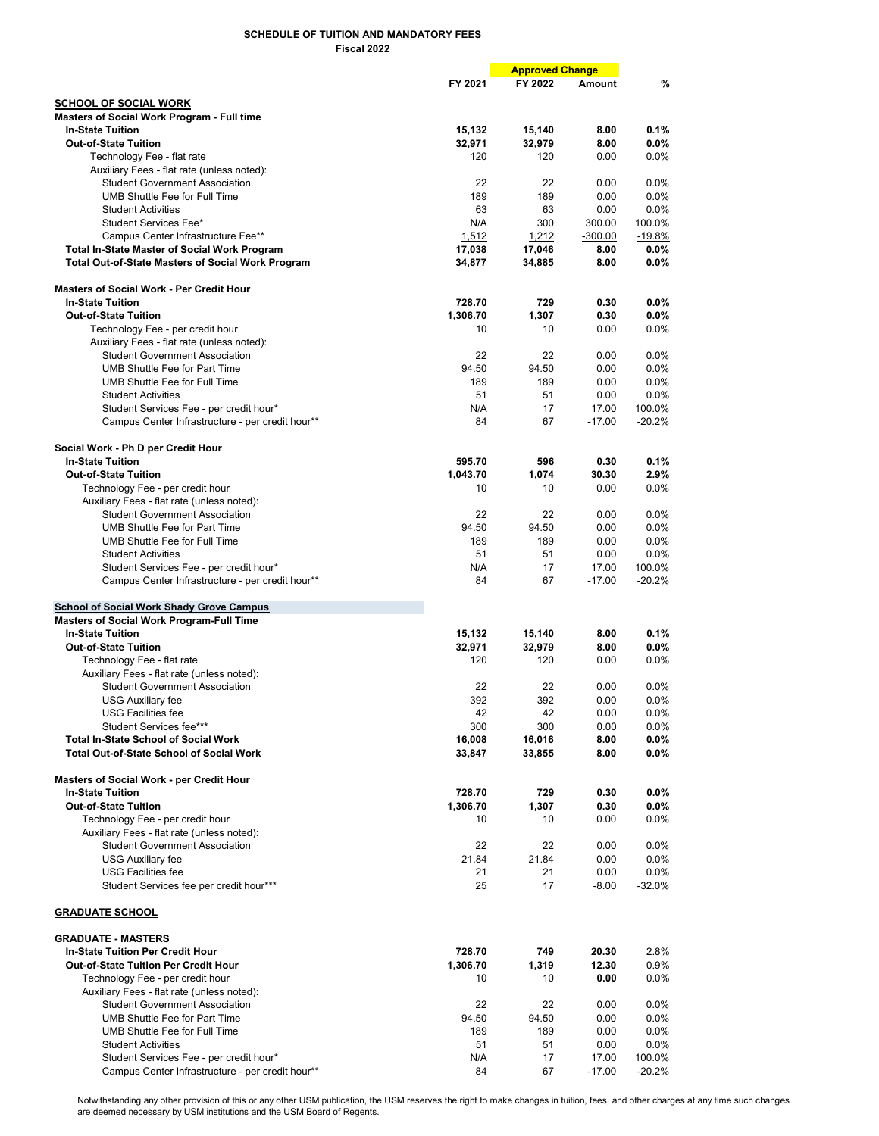|                                                                                           |                    | <b>Approved Change</b> |                   |                     |
|-------------------------------------------------------------------------------------------|--------------------|------------------------|-------------------|---------------------|
|                                                                                           | FY 2021            | FY 2022                | Amount            | $\frac{9}{6}$       |
| <b>SCHOOL OF SOCIAL WORK</b>                                                              |                    |                        |                   |                     |
| <b>Masters of Social Work Program - Full time</b>                                         |                    |                        |                   |                     |
| <b>In-State Tuition</b>                                                                   | 15,132             | 15,140                 | 8.00              | 0.1%                |
| <b>Out-of-State Tuition</b>                                                               | 32,971             | 32,979                 | 8.00              | 0.0%                |
| Technology Fee - flat rate                                                                | 120                | 120                    | 0.00              | $0.0\%$             |
| Auxiliary Fees - flat rate (unless noted):                                                |                    |                        |                   |                     |
| <b>Student Government Association</b>                                                     | 22                 | 22                     | 0.00              | 0.0%                |
| UMB Shuttle Fee for Full Time                                                             | 189                | 189                    | 0.00              | 0.0%                |
| <b>Student Activities</b>                                                                 | 63                 | 63                     | 0.00              | $0.0\%$             |
| Student Services Fee*                                                                     | N/A                | 300                    | 300.00            | 100.0%              |
| Campus Center Infrastructure Fee**<br><b>Total In-State Master of Social Work Program</b> | 1,512<br>17,038    | 1,212<br>17,046        | $-300.00$<br>8.00 | $-19.8%$<br>$0.0\%$ |
| <b>Total Out-of-State Masters of Social Work Program</b>                                  | 34,877             | 34,885                 | 8.00              | $0.0\%$             |
| <b>Masters of Social Work - Per Credit Hour</b>                                           |                    |                        |                   |                     |
| <b>In-State Tuition</b>                                                                   | 728.70             | 729                    | 0.30              | $0.0\%$             |
| <b>Out-of-State Tuition</b>                                                               | 1,306.70           | 1,307                  | 0.30              | $0.0\%$             |
| Technology Fee - per credit hour                                                          | 10                 | 10                     | 0.00              | $0.0\%$             |
| Auxiliary Fees - flat rate (unless noted):                                                |                    |                        |                   |                     |
| <b>Student Government Association</b>                                                     | 22                 | 22                     | 0.00              | 0.0%                |
| <b>UMB Shuttle Fee for Part Time</b>                                                      | 94.50              | 94.50                  | 0.00              | 0.0%                |
| UMB Shuttle Fee for Full Time                                                             | 189                | 189                    | 0.00              | 0.0%                |
| <b>Student Activities</b>                                                                 | 51                 | 51                     | 0.00              | $0.0\%$             |
| Student Services Fee - per credit hour*                                                   | N/A                | 17                     | 17.00             | 100.0%              |
| Campus Center Infrastructure - per credit hour**                                          | 84                 | 67                     | $-17.00$          | $-20.2%$            |
| Social Work - Ph D per Credit Hour                                                        |                    |                        |                   |                     |
| <b>In-State Tuition</b>                                                                   | 595.70             | 596                    | 0.30              | 0.1%                |
| <b>Out-of-State Tuition</b>                                                               | 1,043.70           | 1,074                  | 30.30             | 2.9%                |
| Technology Fee - per credit hour                                                          | 10                 | 10                     | 0.00              | $0.0\%$             |
| Auxiliary Fees - flat rate (unless noted):                                                |                    |                        |                   |                     |
| <b>Student Government Association</b><br><b>UMB Shuttle Fee for Part Time</b>             | 22<br>94.50        | 22                     | 0.00              | 0.0%                |
| UMB Shuttle Fee for Full Time                                                             | 189                | 94.50<br>189           | 0.00<br>0.00      | 0.0%<br>0.0%        |
| <b>Student Activities</b>                                                                 | 51                 | 51                     | 0.00              | $0.0\%$             |
| Student Services Fee - per credit hour*                                                   | N/A                | 17                     | 17.00             | 100.0%              |
| Campus Center Infrastructure - per credit hour**                                          | 84                 | 67                     | $-17.00$          | $-20.2%$            |
|                                                                                           |                    |                        |                   |                     |
| <b>School of Social Work Shady Grove Campus</b>                                           |                    |                        |                   |                     |
| Masters of Social Work Program-Full Time                                                  |                    |                        |                   |                     |
| <b>In-State Tuition</b>                                                                   | 15,132             | 15,140                 | 8.00              | 0.1%                |
| <b>Out-of-State Tuition</b>                                                               | 32,971             | 32,979                 | 8.00              | $0.0\%$             |
| Technology Fee - flat rate                                                                | 120                | 120                    | 0.00              | $0.0\%$             |
| Auxiliary Fees - flat rate (unless noted):                                                |                    |                        |                   |                     |
| <b>Student Government Association</b>                                                     | 22                 | 22                     | 0.00              | 0.0%                |
| <b>USG Auxiliary fee</b>                                                                  | 392                | 392                    | 0.00              | $0.0\%$             |
| <b>USG Facilities fee</b><br>Student Services fee***                                      | 42<br>300          | 42<br>300              | 0.00              | $0.0\%$<br>$0.0\%$  |
| <b>Total In-State School of Social Work</b>                                               | 16,008             | 16,016                 | 0.00<br>8.00      | $0.0\%$             |
| <b>Total Out-of-State School of Social Work</b>                                           | 33,847             | 33,855                 | 8.00              | $0.0\%$             |
|                                                                                           |                    |                        |                   |                     |
| <b>Masters of Social Work - per Credit Hour</b><br><b>In-State Tuition</b>                |                    |                        |                   |                     |
| <b>Out-of-State Tuition</b>                                                               | 728.70<br>1,306.70 | 729<br>1,307           | 0.30<br>0.30      | $0.0\%$<br>$0.0\%$  |
| Technology Fee - per credit hour                                                          | 10                 | 10                     | 0.00              | $0.0\%$             |
| Auxiliary Fees - flat rate (unless noted):                                                |                    |                        |                   |                     |
| <b>Student Government Association</b>                                                     | 22                 | 22                     | 0.00              | 0.0%                |
| <b>USG Auxiliary fee</b>                                                                  | 21.84              | 21.84                  | 0.00              | $0.0\%$             |
| <b>USG Facilities fee</b>                                                                 | 21                 | 21                     | 0.00              | 0.0%                |
| Student Services fee per credit hour***                                                   | 25                 | 17                     | $-8.00$           | $-32.0%$            |
| <b>GRADUATE SCHOOL</b>                                                                    |                    |                        |                   |                     |
| <b>GRADUATE - MASTERS</b>                                                                 |                    |                        |                   |                     |
| <b>In-State Tuition Per Credit Hour</b>                                                   | 728.70             | 749                    | 20.30             | 2.8%                |
| Out-of-State Tuition Per Credit Hour                                                      | 1,306.70           | 1,319                  | 12.30             | 0.9%                |
| Technology Fee - per credit hour                                                          | 10                 | 10                     | 0.00              | $0.0\%$             |
| Auxiliary Fees - flat rate (unless noted):                                                |                    |                        |                   |                     |
| <b>Student Government Association</b>                                                     | 22                 | 22                     | 0.00              | 0.0%                |
| <b>UMB Shuttle Fee for Part Time</b>                                                      | 94.50              | 94.50                  | 0.00              | $0.0\%$             |
| UMB Shuttle Fee for Full Time                                                             | 189                | 189                    | 0.00              | $0.0\%$             |
| <b>Student Activities</b>                                                                 | 51                 | 51                     | 0.00              | $0.0\%$             |
| Student Services Fee - per credit hour*                                                   | N/A                | 17                     | 17.00             | 100.0%              |
| Campus Center Infrastructure - per credit hour**                                          | 84                 | 67                     | $-17.00$          | $-20.2%$            |

Notwithstanding any other provision of this or any other USM publication, the USM reserves the right to make changes in tuition, fees, and other charges at any time such changes are deemed necessary by USM institutions and the USM Board of Regents.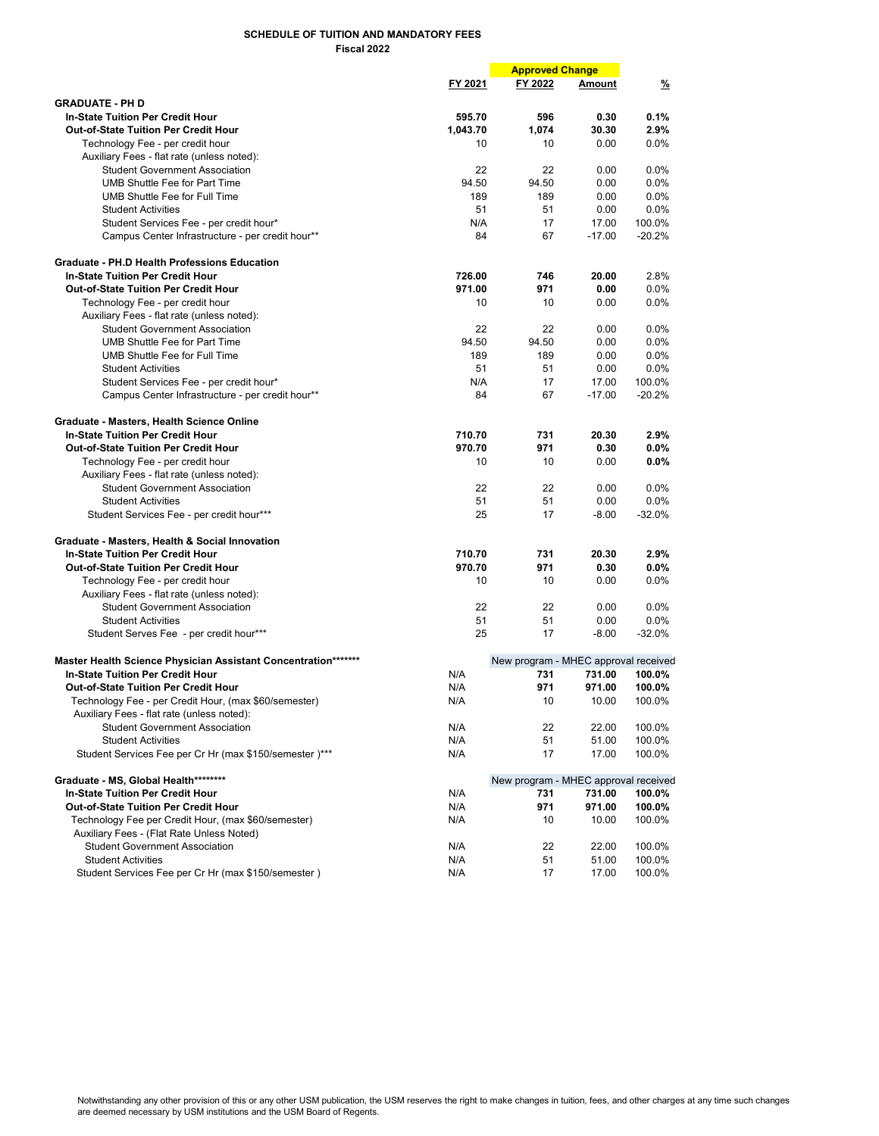|                                                                                                     |          | <b>Approved Change</b>               |          |               |
|-----------------------------------------------------------------------------------------------------|----------|--------------------------------------|----------|---------------|
|                                                                                                     | FY 2021  | FY 2022                              | Amount   | $\frac{9}{6}$ |
| <b>GRADUATE - PH D</b>                                                                              |          |                                      |          |               |
| <b>In-State Tuition Per Credit Hour</b>                                                             | 595.70   | 596                                  | 0.30     | 0.1%          |
| <b>Out-of-State Tuition Per Credit Hour</b>                                                         | 1,043.70 | 1,074                                | 30.30    | 2.9%          |
| Technology Fee - per credit hour                                                                    | 10       | 10                                   | 0.00     | $0.0\%$       |
| Auxiliary Fees - flat rate (unless noted):                                                          |          |                                      |          |               |
| <b>Student Government Association</b>                                                               | 22       | 22                                   | 0.00     | 0.0%          |
| <b>UMB Shuttle Fee for Part Time</b>                                                                | 94.50    | 94.50                                | 0.00     | 0.0%          |
| <b>UMB Shuttle Fee for Full Time</b>                                                                | 189      | 189                                  | 0.00     | 0.0%          |
| <b>Student Activities</b>                                                                           | 51       | 51                                   | 0.00     | 0.0%          |
| Student Services Fee - per credit hour*                                                             | N/A      | 17                                   | 17.00    | 100.0%        |
| Campus Center Infrastructure - per credit hour**                                                    | 84       | 67                                   | $-17.00$ | $-20.2%$      |
| <b>Graduate - PH.D Health Professions Education</b>                                                 |          |                                      |          |               |
| <b>In-State Tuition Per Credit Hour</b>                                                             | 726.00   | 746                                  | 20.00    | 2.8%          |
| <b>Out-of-State Tuition Per Credit Hour</b>                                                         | 971.00   | 971                                  | 0.00     | 0.0%          |
| Technology Fee - per credit hour                                                                    | 10       | 10                                   | 0.00     | 0.0%          |
| Auxiliary Fees - flat rate (unless noted):                                                          |          |                                      |          |               |
| <b>Student Government Association</b>                                                               | 22       | 22                                   | 0.00     | $0.0\%$       |
| UMB Shuttle Fee for Part Time                                                                       | 94.50    | 94.50                                | 0.00     | 0.0%          |
| <b>UMB Shuttle Fee for Full Time</b>                                                                | 189      | 189                                  | 0.00     | 0.0%          |
| <b>Student Activities</b>                                                                           | 51       | 51                                   | 0.00     | 0.0%          |
| Student Services Fee - per credit hour*                                                             | N/A      | 17                                   | 17.00    | 100.0%        |
| Campus Center Infrastructure - per credit hour**                                                    | 84       | 67                                   | $-17.00$ | $-20.2%$      |
| Graduate - Masters, Health Science Online                                                           |          |                                      |          |               |
| <b>In-State Tuition Per Credit Hour</b>                                                             | 710.70   | 731                                  | 20.30    | 2.9%          |
| <b>Out-of-State Tuition Per Credit Hour</b>                                                         | 970.70   | 971                                  | 0.30     | 0.0%          |
| Technology Fee - per credit hour                                                                    | 10       | 10                                   | 0.00     | 0.0%          |
| Auxiliary Fees - flat rate (unless noted):                                                          |          |                                      |          |               |
| <b>Student Government Association</b>                                                               | 22       | 22                                   | 0.00     | $0.0\%$       |
| <b>Student Activities</b>                                                                           | 51       | 51                                   | 0.00     | 0.0%          |
| Student Services Fee - per credit hour***                                                           | 25       | 17                                   | $-8.00$  | $-32.0%$      |
| Graduate - Masters, Health & Social Innovation                                                      |          |                                      |          |               |
| <b>In-State Tuition Per Credit Hour</b>                                                             | 710.70   | 731                                  | 20.30    | 2.9%          |
| <b>Out-of-State Tuition Per Credit Hour</b>                                                         | 970.70   | 971                                  | 0.30     | 0.0%          |
| Technology Fee - per credit hour                                                                    | 10       | 10                                   | 0.00     | 0.0%          |
| Auxiliary Fees - flat rate (unless noted):                                                          |          |                                      |          |               |
| <b>Student Government Association</b>                                                               | 22       | 22                                   | 0.00     | 0.0%          |
| <b>Student Activities</b>                                                                           | 51       | 51                                   | 0.00     | 0.0%          |
| Student Serves Fee - per credit hour***                                                             | 25       | 17                                   | $-8.00$  | $-32.0%$      |
| Master Health Science Physician Assistant Concentration*******                                      |          | New program - MHEC approval received |          |               |
| <b>In-State Tuition Per Credit Hour</b>                                                             | N/A      | 731                                  | 731.00   | 100.0%        |
| <b>Out-of-State Tuition Per Credit Hour</b>                                                         | N/A      | 971                                  | 971.00   | 100.0%        |
| Technology Fee - per Credit Hour, (max \$60/semester)<br>Auxiliary Fees - flat rate (unless noted): | N/A      | 10                                   | 10.00    | 100.0%        |
| <b>Student Government Association</b>                                                               | N/A      | 22                                   | 22.00    | 100.0%        |
| <b>Student Activities</b>                                                                           | N/A      | 51                                   | 51.00    | 100.0%        |
| Student Services Fee per Cr Hr (max \$150/semester)***                                              | N/A      | 17                                   | 17.00    | 100.0%        |
| Graduate - MS, Global Health********                                                                |          | New program - MHEC approval received |          |               |
| <b>In-State Tuition Per Credit Hour</b>                                                             | N/A      | 731                                  | 731.00   | 100.0%        |
| Out-of-State Tuition Per Credit Hour                                                                | N/A      | 971                                  | 971.00   | 100.0%        |
| Technology Fee per Credit Hour, (max \$60/semester)                                                 | N/A      | 10                                   | 10.00    | 100.0%        |
| Auxiliary Fees - (Flat Rate Unless Noted)                                                           |          |                                      |          |               |
| <b>Student Government Association</b>                                                               | N/A      | 22                                   | 22.00    | 100.0%        |
| <b>Student Activities</b>                                                                           | N/A      | 51                                   | 51.00    | 100.0%        |
| Student Services Fee per Cr Hr (max \$150/semester)                                                 | N/A      | 17                                   | 17.00    | 100.0%        |